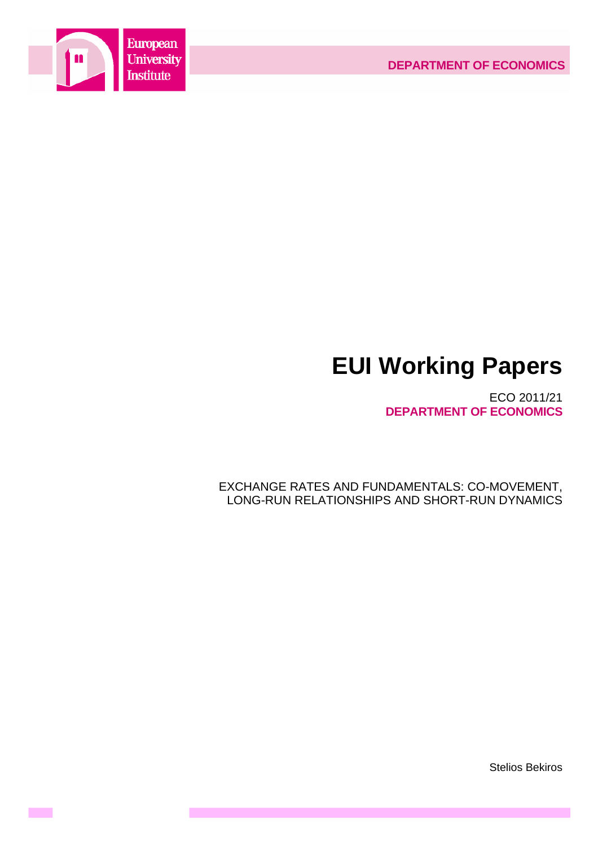

**Contract** 

# **EUI Working Papers**

ECO 2011/21 **DEPARTMENT OF ECONOMICS**

EXCHANGE RATES AND FUNDAMENTALS: CO-MOVEMENT, LONG-RUN RELATIONSHIPS AND SHORT-RUN DYNAMICS

Stelios Bekiros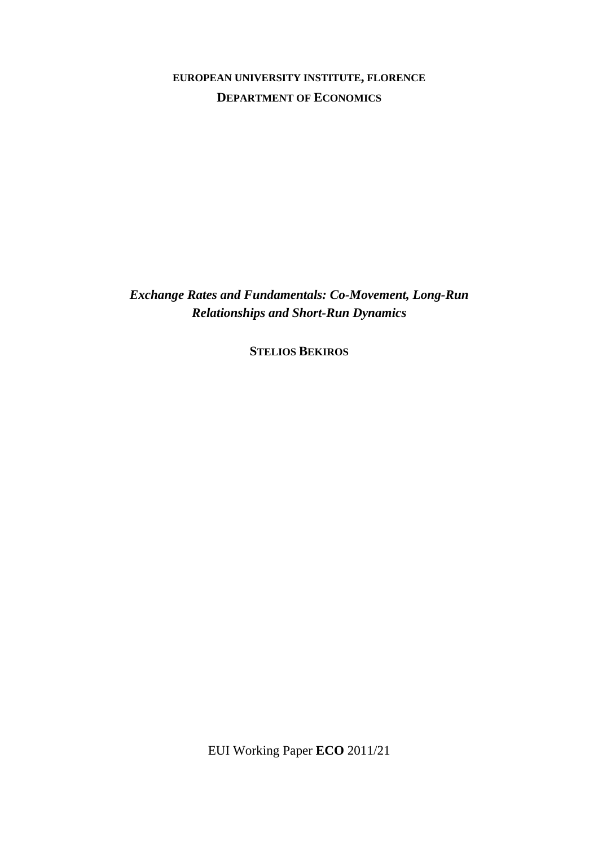# **EUROPEAN UNIVERSITY INSTITUTE, FLORENCE DEPARTMENT OF ECONOMICS**

*Exchange Rates and Fundamentals: Co-Movement, Long-Run Relationships and Short-Run Dynamics* 

**STELIOS BEKIROS**

EUI Working Paper **ECO** 2011/21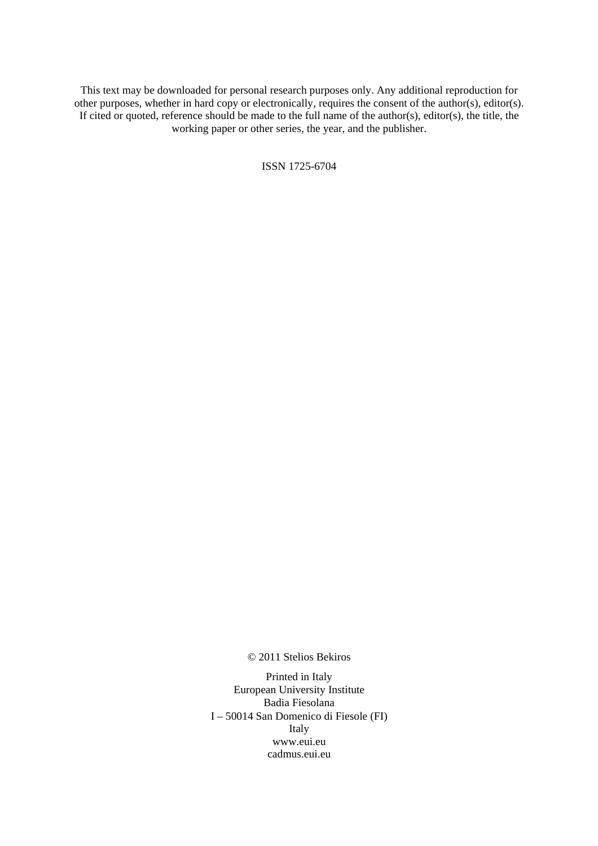This text may be downloaded for personal research purposes only. Any additional reproduction for other purposes, whether in hard copy or electronically, requires the consent of the author(s), editor(s). If cited or quoted, reference should be made to the full name of the author(s), editor(s), the title, the working paper or other series, the year, and the publisher.

ISSN 1725-6704

© 2011 Stelios Bekiros

Printed in Italy European University Institute Badia Fiesolana I – 50014 San Domenico di Fiesole (FI) Italy [www.eui.eu](http://www.eui.eu/)  [cadmus.eui.eu](http://www.eui.eu/)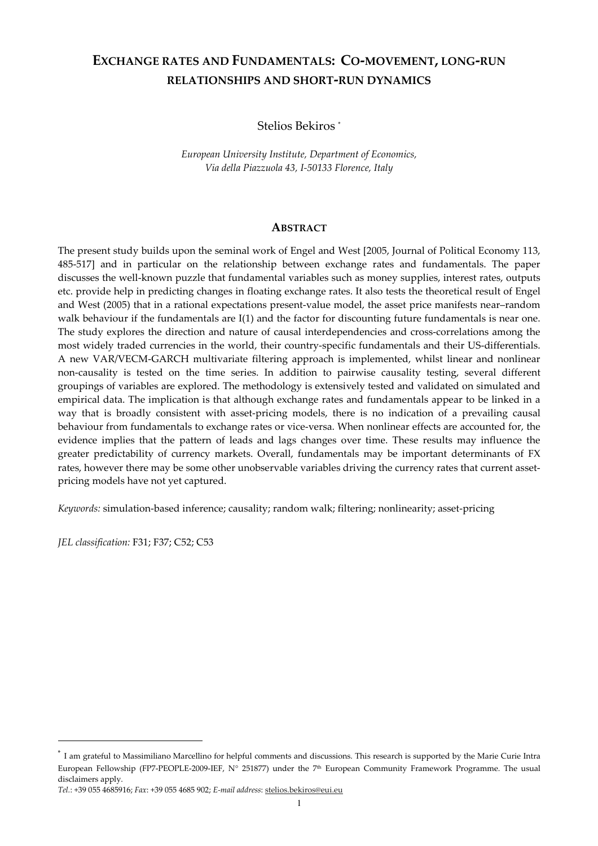## **EXCHANGE RATES AND FUNDAMENTALS: CO-MOVEMENT, LONG-RUN RELATIONSHIPS AND SHORT-RUN DYNAMICS**

Stelios Bekiros \*

*European University Institute, Department of Economics, Via della Piazzuola 43, I-50133 Florence, Italy* 

#### **ABSTRACT**

The present study builds upon the seminal work of Engel and West [2005, Journal of Political Economy 113, 485-517] and in particular on the relationship between exchange rates and fundamentals. The paper discusses the well-known puzzle that fundamental variables such as money supplies, interest rates, outputs etc. provide help in predicting changes in floating exchange rates. It also tests the theoretical result of Engel and West (2005) that in a rational expectations present-value model, the asset price manifests near–random walk behaviour if the fundamentals are I(1) and the factor for discounting future fundamentals is near one. The study explores the direction and nature of causal interdependencies and cross-correlations among the most widely traded currencies in the world, their country-specific fundamentals and their US-differentials. A new VAR/VECM-GARCH multivariate filtering approach is implemented, whilst linear and nonlinear non-causality is tested on the time series. In addition to pairwise causality testing, several different groupings of variables are explored. The methodology is extensively tested and validated on simulated and empirical data. The implication is that although exchange rates and fundamentals appear to be linked in a way that is broadly consistent with asset-pricing models, there is no indication of a prevailing causal behaviour from fundamentals to exchange rates or vice-versa. When nonlinear effects are accounted for, the evidence implies that the pattern of leads and lags changes over time. These results may influence the greater predictability of currency markets. Overall, fundamentals may be important determinants of FX rates, however there may be some other unobservable variables driving the currency rates that current assetpricing models have not yet captured.

*Keywords:* simulation-based inference; causality; random walk; filtering; nonlinearity; asset-pricing

*JEL classification:* F31; F37; C52; C53

l.

<sup>\*</sup> I am grateful to Massimiliano Marcellino for helpful comments and discussions. This research is supported by the Marie Curie Intra European Fellowship (FP7-PEOPLE-2009-IEF, N° 251877) under the 7<sup>th</sup> European Community Framework Programme. The usual disclaimers apply.

*Tel.*: +39 055 4685916; *Fax*: +39 055 4685 902; *E-mail address*: stelios.bekiros@eui.eu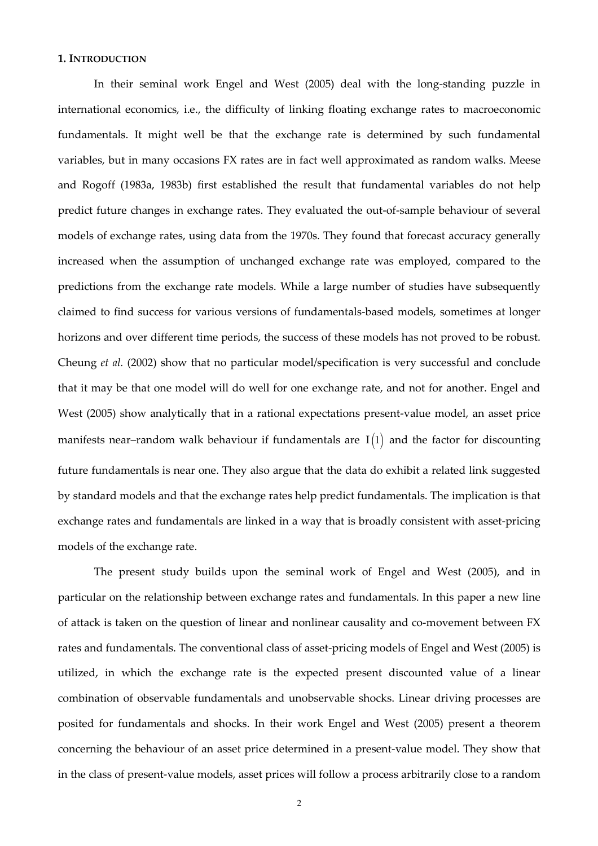#### **1. INTRODUCTION**

In their seminal work Engel and West (2005) deal with the long-standing puzzle in international economics, i.e., the difficulty of linking floating exchange rates to macroeconomic fundamentals. It might well be that the exchange rate is determined by such fundamental variables, but in many occasions FX rates are in fact well approximated as random walks. Meese and Rogoff (1983a, 1983b) first established the result that fundamental variables do not help predict future changes in exchange rates. They evaluated the out-of-sample behaviour of several models of exchange rates, using data from the 1970s. They found that forecast accuracy generally increased when the assumption of unchanged exchange rate was employed, compared to the predictions from the exchange rate models. While a large number of studies have subsequently claimed to find success for various versions of fundamentals-based models, sometimes at longer horizons and over different time periods, the success of these models has not proved to be robust. Cheung *et al.* (2002) show that no particular model/specification is very successful and conclude that it may be that one model will do well for one exchange rate, and not for another. Engel and West (2005) show analytically that in a rational expectations present-value model, an asset price manifests near-random walk behaviour if fundamentals are  $I(1)$  and the factor for discounting future fundamentals is near one. They also argue that the data do exhibit a related link suggested by standard models and that the exchange rates help predict fundamentals. The implication is that exchange rates and fundamentals are linked in a way that is broadly consistent with asset-pricing models of the exchange rate.

The present study builds upon the seminal work of Engel and West (2005), and in particular on the relationship between exchange rates and fundamentals. In this paper a new line of attack is taken on the question of linear and nonlinear causality and co-movement between FX rates and fundamentals. The conventional class of asset-pricing models of Engel and West (2005) is utilized, in which the exchange rate is the expected present discounted value of a linear combination of observable fundamentals and unobservable shocks. Linear driving processes are posited for fundamentals and shocks. In their work Engel and West (2005) present a theorem concerning the behaviour of an asset price determined in a present-value model. They show that in the class of present-value models, asset prices will follow a process arbitrarily close to a random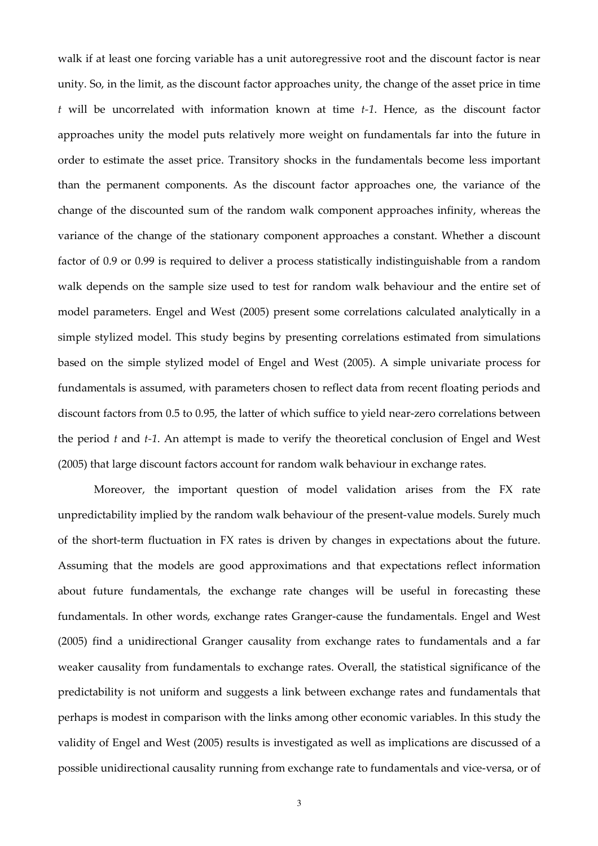walk if at least one forcing variable has a unit autoregressive root and the discount factor is near unity. So, in the limit, as the discount factor approaches unity, the change of the asset price in time *t* will be uncorrelated with information known at time *t-1*. Hence, as the discount factor approaches unity the model puts relatively more weight on fundamentals far into the future in order to estimate the asset price. Transitory shocks in the fundamentals become less important than the permanent components. As the discount factor approaches one, the variance of the change of the discounted sum of the random walk component approaches infinity, whereas the variance of the change of the stationary component approaches a constant. Whether a discount factor of 0.9 or 0.99 is required to deliver a process statistically indistinguishable from a random walk depends on the sample size used to test for random walk behaviour and the entire set of model parameters. Engel and West (2005) present some correlations calculated analytically in a simple stylized model. This study begins by presenting correlations estimated from simulations based on the simple stylized model of Engel and West (2005). A simple univariate process for fundamentals is assumed, with parameters chosen to reflect data from recent floating periods and discount factors from 0.5 to 0.95, the latter of which suffice to yield near-zero correlations between the period *t* and *t-1*. An attempt is made to verify the theoretical conclusion of Engel and West (2005) that large discount factors account for random walk behaviour in exchange rates.

Moreover, the important question of model validation arises from the FX rate unpredictability implied by the random walk behaviour of the present-value models. Surely much of the short-term fluctuation in FX rates is driven by changes in expectations about the future. Assuming that the models are good approximations and that expectations reflect information about future fundamentals, the exchange rate changes will be useful in forecasting these fundamentals. In other words, exchange rates Granger-cause the fundamentals. Engel and West (2005) find a unidirectional Granger causality from exchange rates to fundamentals and a far weaker causality from fundamentals to exchange rates. Overall, the statistical significance of the predictability is not uniform and suggests a link between exchange rates and fundamentals that perhaps is modest in comparison with the links among other economic variables. In this study the validity of Engel and West (2005) results is investigated as well as implications are discussed of a possible unidirectional causality running from exchange rate to fundamentals and vice-versa, or of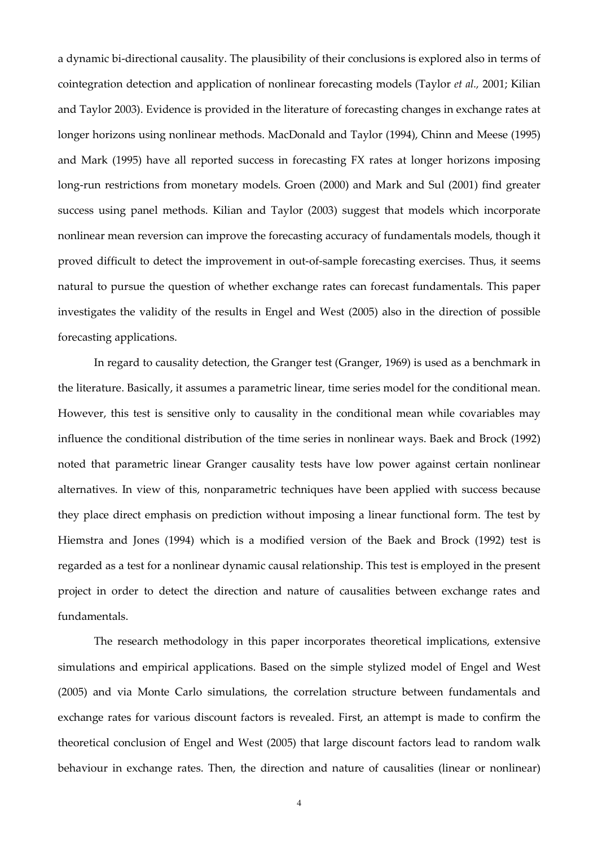a dynamic bi-directional causality. The plausibility of their conclusions is explored also in terms of cointegration detection and application of nonlinear forecasting models (Taylor *et al.,* 2001; Kilian and Taylor 2003). Evidence is provided in the literature of forecasting changes in exchange rates at longer horizons using nonlinear methods. MacDonald and Taylor (1994), Chinn and Meese (1995) and Mark (1995) have all reported success in forecasting FX rates at longer horizons imposing long-run restrictions from monetary models. Groen (2000) and Mark and Sul (2001) find greater success using panel methods. Kilian and Taylor (2003) suggest that models which incorporate nonlinear mean reversion can improve the forecasting accuracy of fundamentals models, though it proved difficult to detect the improvement in out-of-sample forecasting exercises. Thus, it seems natural to pursue the question of whether exchange rates can forecast fundamentals. This paper investigates the validity of the results in Engel and West (2005) also in the direction of possible forecasting applications.

In regard to causality detection, the Granger test (Granger, 1969) is used as a benchmark in the literature. Basically, it assumes a parametric linear, time series model for the conditional mean. However, this test is sensitive only to causality in the conditional mean while covariables may influence the conditional distribution of the time series in nonlinear ways. Baek and Brock (1992) noted that parametric linear Granger causality tests have low power against certain nonlinear alternatives. In view of this, nonparametric techniques have been applied with success because they place direct emphasis on prediction without imposing a linear functional form. The test by Hiemstra and Jones (1994) which is a modified version of the Baek and Brock (1992) test is regarded as a test for a nonlinear dynamic causal relationship. This test is employed in the present project in order to detect the direction and nature of causalities between exchange rates and fundamentals.

The research methodology in this paper incorporates theoretical implications, extensive simulations and empirical applications. Based on the simple stylized model of Engel and West (2005) and via Monte Carlo simulations, the correlation structure between fundamentals and exchange rates for various discount factors is revealed. First, an attempt is made to confirm the theoretical conclusion of Engel and West (2005) that large discount factors lead to random walk behaviour in exchange rates. Then, the direction and nature of causalities (linear or nonlinear)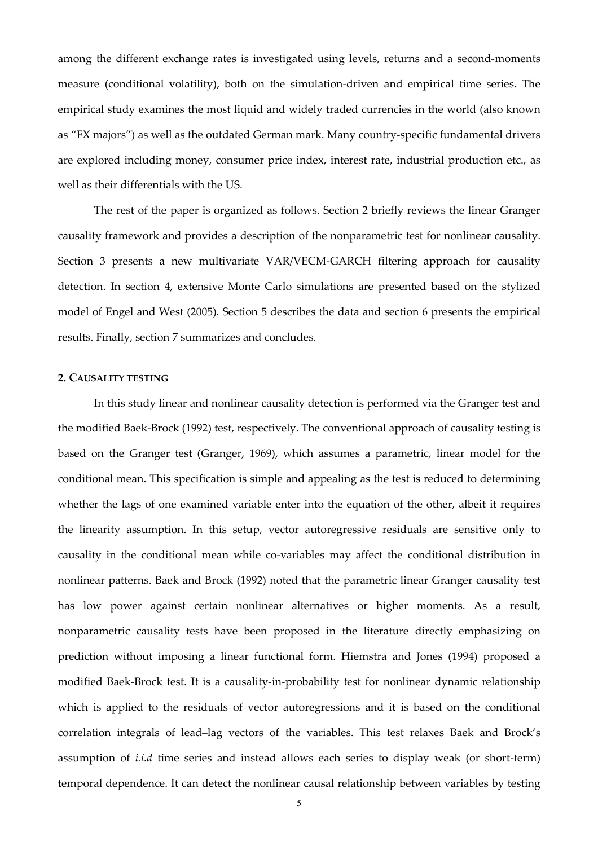among the different exchange rates is investigated using levels, returns and a second-moments measure (conditional volatility), both on the simulation-driven and empirical time series. The empirical study examines the most liquid and widely traded currencies in the world (also known as "FX majors") as well as the outdated German mark. Many country-specific fundamental drivers are explored including money, consumer price index, interest rate, industrial production etc., as well as their differentials with the US.

The rest of the paper is organized as follows. Section 2 briefly reviews the linear Granger causality framework and provides a description of the nonparametric test for nonlinear causality. Section 3 presents a new multivariate VAR/VECM-GARCH filtering approach for causality detection. In section 4, extensive Monte Carlo simulations are presented based on the stylized model of Engel and West (2005). Section 5 describes the data and section 6 presents the empirical results. Finally, section 7 summarizes and concludes.

## **2. CAUSALITY TESTING**

In this study linear and nonlinear causality detection is performed via the Granger test and the modified Baek-Brock (1992) test, respectively. The conventional approach of causality testing is based on the Granger test (Granger, 1969), which assumes a parametric, linear model for the conditional mean. This specification is simple and appealing as the test is reduced to determining whether the lags of one examined variable enter into the equation of the other, albeit it requires the linearity assumption. In this setup, vector autoregressive residuals are sensitive only to causality in the conditional mean while co-variables may affect the conditional distribution in nonlinear patterns. Baek and Brock (1992) noted that the parametric linear Granger causality test has low power against certain nonlinear alternatives or higher moments. As a result, nonparametric causality tests have been proposed in the literature directly emphasizing on prediction without imposing a linear functional form. Hiemstra and Jones (1994) proposed a modified Baek-Brock test. It is a causality-in-probability test for nonlinear dynamic relationship which is applied to the residuals of vector autoregressions and it is based on the conditional correlation integrals of lead–lag vectors of the variables. This test relaxes Baek and Brock's assumption of *i.i.d* time series and instead allows each series to display weak (or short-term) temporal dependence. It can detect the nonlinear causal relationship between variables by testing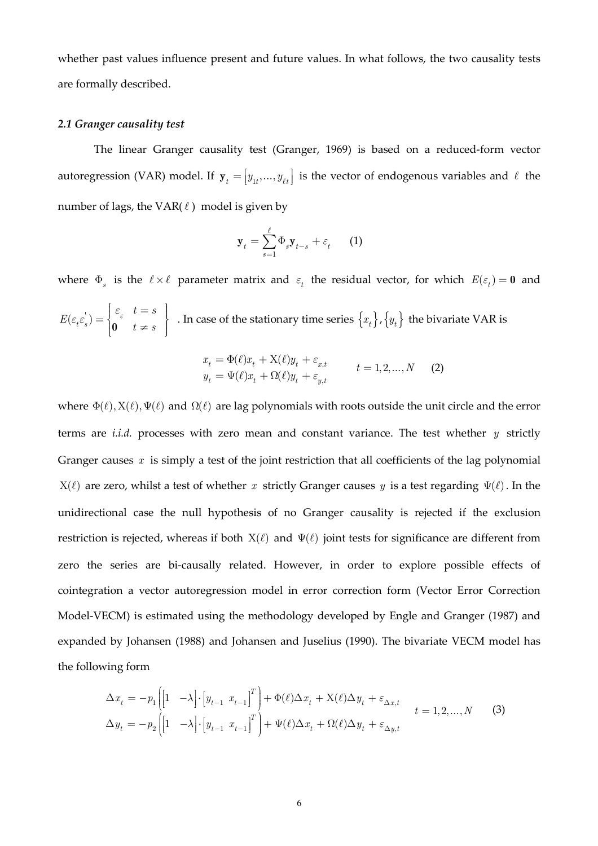whether past values influence present and future values. In what follows, the two causality tests are formally described.

## *2.1 Granger causality test*

The linear Granger causality test (Granger, 1969) is based on a reduced-form vector autoregression (VAR) model. If  $\mathbf{y}_t = [y_{1t},..., y_{\ell t}]$  is the vector of endogenous variables and  $\ell$  the number of lags, the VAR $(\ell)$  model is given by

$$
\mathbf{y}_{t} = \sum_{s=1}^{\ell} \Phi_{s} \mathbf{y}_{t-s} + \varepsilon_{t} \qquad (1)
$$

where  $\Phi_s$  is the  $\ell \times \ell$  parameter matrix and  $\varepsilon_t$  the residual vector, for which  $E(\varepsilon_t) = \mathbf{0}$  and  $\mathcal{E}_{\varepsilon}$  $\mathcal{E}_{t}(\varepsilon_{s}) = \begin{cases} 0 & t \neq s \end{cases}$ .  $t = s$  $E(\varepsilon_t \varepsilon_s) = \begin{cases} 0 & t \neq s \end{cases}$ *ε ε ε ε*  $\left[\begin{array}{cc} \varepsilon & t=s \end{array}\right]$  $=\left\{0\atop t\neq s\right\}$  . In case of the stationary time series  $\left\{x_t\right\}$ ,  $\left\{y_t\right\}$  the bivariate VAR is

$$
x_{t} = \Phi(\ell)x_{t} + \mathbf{X}(\ell)y_{t} + \varepsilon_{x,t} \ny_{t} = \Psi(\ell)x_{t} + \Omega(\ell)y_{t} + \varepsilon_{y,t} \qquad t = 1, 2, ..., N
$$
\n(2)

where  $\Phi(\ell), X(\ell), \Psi(\ell)$  and  $\Omega(\ell)$  are lag polynomials with roots outside the unit circle and the error terms are *i.i.d.* processes with zero mean and constant variance. The test whether *y* strictly Granger causes *x* is simply a test of the joint restriction that all coefficients of the lag polynomial  $X(ℓ)$  are zero, whilst a test of whether *x* strictly Granger causes *y* is a test regarding  $Ψ(ℓ)$ . In the unidirectional case the null hypothesis of no Granger causality is rejected if the exclusion restriction is rejected, whereas if both  $X(\ell)$  and  $\Psi(\ell)$  joint tests for significance are different from zero the series are bi-causally related. However, in order to explore possible effects of cointegration a vector autoregression model in error correction form (Vector Error Correction Model-VECM) is estimated using the methodology developed by Engle and Granger (1987) and expanded by Johansen (1988) and Johansen and Juselius (1990). The bivariate VECM model has the following form

$$
\Delta x_t = -p_1 \left[ \begin{bmatrix} 1 & -\lambda \end{bmatrix} \cdot \begin{bmatrix} y_{t-1} & x_{t-1} \end{bmatrix}^T \right] + \Phi(\ell) \Delta x_t + X(\ell) \Delta y_t + \varepsilon_{\Delta x, t} \qquad t = 1, 2, ..., N \qquad (3)
$$
  

$$
\Delta y_t = -p_2 \left[ \begin{bmatrix} 1 & -\lambda \end{bmatrix} \cdot \begin{bmatrix} y_{t-1} & x_{t-1} \end{bmatrix}^T \right] + \Psi(\ell) \Delta x_t + \Omega(\ell) \Delta y_t + \varepsilon_{\Delta y, t}
$$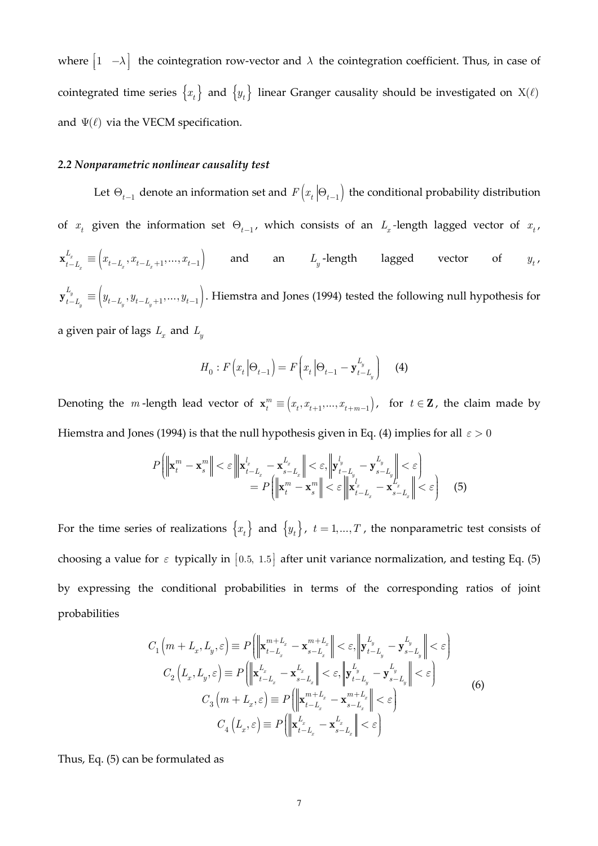where  $\begin{bmatrix} 1 & -\lambda \end{bmatrix}$  the cointegration row-vector and  $\lambda$  the cointegration coefficient. Thus, in case of cointegrated time series  $\{x_t\}$  and  $\{y_t\}$  linear Granger causality should be investigated on X( $\ell$ ) and  $\Psi(\ell)$  via the VECM specification.

## *2.2 Nonparametric nonlinear causality test*

Let  $\Theta_{t-1}$  denote an information set and  $F(x_t | \Theta_{t-1})$  the conditional probability distribution of  $x_t$  given the information set  $\Theta_{t-1}$ , which consists of an  $L_x$ -length lagged vector of  $x_t$ ,  $\begin{bmatrix} x \ -L \end{bmatrix} \equiv \left( x_{t-L_r}, x_{t-L_r+1}, \ldots, x_{t-1} \right).$  $\mathcal{L}_x$   $\qquad \qquad \downarrow$   $\qquad \mathcal{L}_x$   $\qquad \qquad \mathcal{L}_x$  $\mathbf{x}_{t-L_x}^{L_x} \equiv \begin{pmatrix} x_{t-L_x}, x_{t-L_x+1}, ..., x_{t-1} \end{pmatrix}$  and an  $L_y$ -length lagged vector of  $y_t$  $y_t$ ,  $\mathcal{L}_{-L}^{\mathcal{Y}} \equiv (y_{t-L_{v}}, y_{t-L_{v}+1}, \dots, y_{t-1}).$  $y \rightarrow y$  *v*  $y \rightarrow y$  $\mathbf{y}_{t-L_a}^{L_y}\equiv\left(y_{t-L_a},y_{t-L_a+1},\ldots,y_{t-1}\right)$ . Hiemstra and Jones (1994) tested the following null hypothesis for a given pair of lags  $L_x$  and  $L_y$ 

$$
H_0: F(x_t | \Theta_{t-1}) = F(x_t | \Theta_{t-1} - \mathbf{y}_{t-L_y}^{L_y})
$$
 (4)

Denoting the *m*-length lead vector of  $\mathbf{x}_t^m \equiv (x_t, x_{t+1},..., x_{t+m-1})$ , for  $t \in \mathbf{Z}$ , the claim made by Hiemstra and Jones (1994) is that the null hypothesis given in Eq. (4) implies for all *ε* > 0

$$
P\left(\left\|\mathbf{x}_{t}^{m}-\mathbf{x}_{s}^{m}\right\|<\varepsilon\left\|\mathbf{x}_{t-L_{x}}^{l_{x}}-\mathbf{x}_{s-L_{x}}^{L_{x}}\right\|<\varepsilon,\left\|\mathbf{y}_{t-L_{y}}^{l_{y}}-\mathbf{y}_{s-L_{y}}^{L_{y}}\right\|<\varepsilon\right)\right\}
$$
\n
$$
=P\left(\left\|\mathbf{x}_{t}^{m}-\mathbf{x}_{s}^{m}\right\|<\varepsilon\left\|\mathbf{x}_{t-L_{x}}^{l_{x}}-\mathbf{x}_{s-L_{x}}^{L_{x}}\right\|<\varepsilon\right)
$$
\n(5)

For the time series of realizations  $\{x_t\}$  and  $\{y_t\}$ ,  $t = 1,...,T$ , the nonparametric test consists of choosing a value for  $\varepsilon$  typically in [0.5, 1.5] after unit variance normalization, and testing Eq. (5) by expressing the conditional probabilities in terms of the corresponding ratios of joint probabilities

$$
C_{1}\left(m+L_{x},L_{y},\varepsilon\right) \equiv P\left(\left\|\mathbf{x}_{t-L_{x}}^{m+L_{x}} - \mathbf{x}_{s-L_{x}}^{m+L_{x}}\right\| < \varepsilon, \left\|\mathbf{y}_{t-L_{y}}^{L_{y}} - \mathbf{y}_{s-L_{y}}^{L_{y}}\right\| < \varepsilon\right)
$$

$$
C_{2}\left(L_{x},L_{y},\varepsilon\right) \equiv P\left(\left\|\mathbf{x}_{t-L_{x}}^{L_{x}} - \mathbf{x}_{s-L_{x}}^{L_{x}}\right\| < \varepsilon, \left\|\mathbf{y}_{t-L_{y}}^{L_{y}} - \mathbf{y}_{s-L_{y}}^{L_{y}}\right\| < \varepsilon\right)
$$

$$
C_{3}\left(m+L_{x},\varepsilon\right) \equiv P\left(\left\|\mathbf{x}_{t-L_{x}}^{m+L_{x}} - \mathbf{x}_{s-L_{x}}^{m+L_{x}}\right\| < \varepsilon\right)
$$

$$
C_{4}\left(L_{x},\varepsilon\right) \equiv P\left(\left\|\mathbf{x}_{t-L_{x}}^{L_{x}} - \mathbf{x}_{s-L_{x}}^{L_{x}}\right\| < \varepsilon\right)
$$
(6)

Thus, Eq. (5) can be formulated as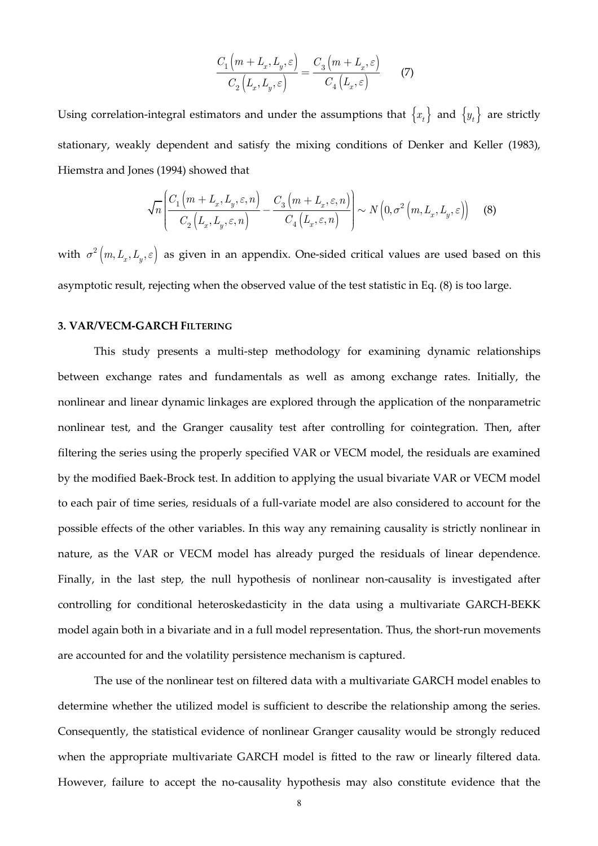$$
\frac{C_1\left(m+L_x,L_y,\varepsilon\right)}{C_2\left(L_x,L_y,\varepsilon\right)} = \frac{C_3\left(m+L_x,\varepsilon\right)}{C_4\left(L_x,\varepsilon\right)}\qquad \textbf{(7)}
$$

Using correlation-integral estimators and under the assumptions that  $\{x_t\}$  and  $\{y_t\}$  are strictly stationary, weakly dependent and satisfy the mixing conditions of Denker and Keller (1983), Hiemstra and Jones (1994) showed that

$$
\sqrt{n}\left(\frac{C_1\left(m+L_x,L_y,\varepsilon,n\right)}{C_2\left(L_x,L_y,\varepsilon,n\right)}-\frac{C_3\left(m+L_x,\varepsilon,n\right)}{C_4\left(L_x,\varepsilon,n\right)}\right)\sim N\left(0,\sigma^2\left(m,L_x,L_y,\varepsilon\right)\right)\tag{8}
$$

with  $\sigma^2\big(m, L_x, L_y, \varepsilon\big)$  as given in an appendix. One-sided critical values are used based on this asymptotic result, rejecting when the observed value of the test statistic in Eq. (8) is too large.

## **3. VAR/VECM-GARCH FILTERING**

This study presents a multi-step methodology for examining dynamic relationships between exchange rates and fundamentals as well as among exchange rates. Initially, the nonlinear and linear dynamic linkages are explored through the application of the nonparametric nonlinear test, and the Granger causality test after controlling for cointegration. Then, after filtering the series using the properly specified VAR or VECM model, the residuals are examined by the modified Baek-Brock test. In addition to applying the usual bivariate VAR or VECM model to each pair of time series, residuals of a full-variate model are also considered to account for the possible effects of the other variables. In this way any remaining causality is strictly nonlinear in nature, as the VAR or VECM model has already purged the residuals of linear dependence. Finally, in the last step, the null hypothesis of nonlinear non-causality is investigated after controlling for conditional heteroskedasticity in the data using a multivariate GARCH-BEKK model again both in a bivariate and in a full model representation. Thus, the short-run movements are accounted for and the volatility persistence mechanism is captured.

The use of the nonlinear test on filtered data with a multivariate GARCH model enables to determine whether the utilized model is sufficient to describe the relationship among the series. Consequently, the statistical evidence of nonlinear Granger causality would be strongly reduced when the appropriate multivariate GARCH model is fitted to the raw or linearly filtered data. However, failure to accept the no-causality hypothesis may also constitute evidence that the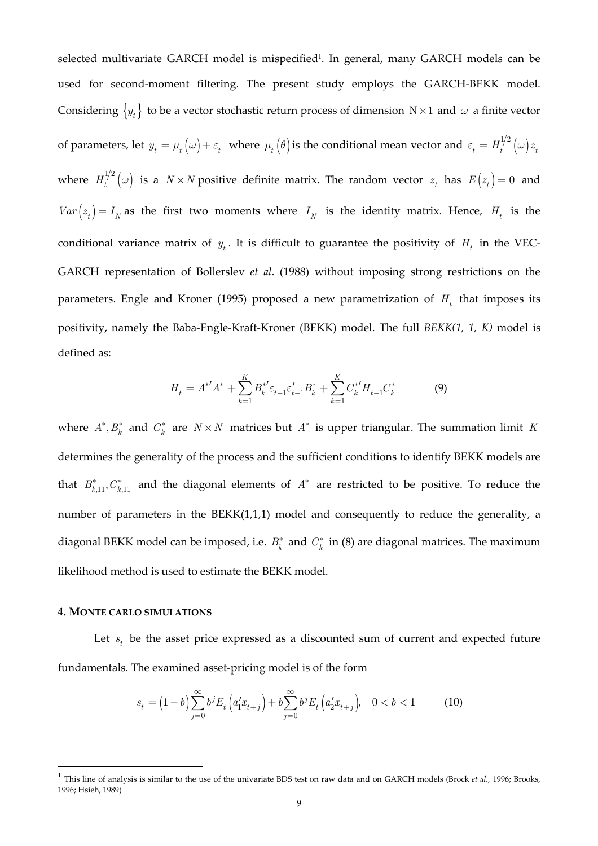selected multivariate GARCH model is mispecified<sup>1</sup>. In general, many GARCH models can be used for second-moment filtering. The present study employs the GARCH-BEKK model. Considering  $\{y_t\}$  to be a vector stochastic return process of dimension  $N \times 1$  and  $\omega$  a finite vector of parameters, let  $y_t = \mu_t(\omega) + \varepsilon_t$  where  $\mu_t(\theta)$  is the conditional mean vector and  $\varepsilon_t = H_t^{1/2}(\omega) z_t$ where  $H_t^{1/2}(\omega)$  is a  $N \times N$  positive definite matrix. The random vector  $z_t$  has  $E(z_t) = 0$  and  $Var(z_t) = I_N$  as the first two moments where  $I_N$  is the identity matrix. Hence,  $H_t$  is the conditional variance matrix of  $y_t$ . It is difficult to guarantee the positivity of  $H_t$  in the VEC-GARCH representation of Bollerslev *et al*. (1988) without imposing strong restrictions on the parameters. Engle and Kroner (1995) proposed a new parametrization of *H<sup>t</sup>* that imposes its positivity, namely the Baba-Engle-Kraft-Kroner (BEKK) model. The full *BEKK(1, 1, K)* model is defined as:

$$
H_t = A^{*'}A^* + \sum_{k=1}^{K} B_k^{*'} \varepsilon_{t-1} \varepsilon_{t-1}' B_k^* + \sum_{k=1}^{K} C_k^{*'} H_{t-1} C_k^*
$$
(9)

where  $A^*, B^*_k$  and  $C^*_k$  are  $N \times N$  matrices but  $A^*$  is upper triangular. The summation limit *K* determines the generality of the process and the sufficient conditions to identify BEKK models are that  $B_{k,11}^*$ ,  $C_{k,11}^*$  and the diagonal elements of  $A^*$  are restricted to be positive. To reduce the number of parameters in the BEKK(1,1,1) model and consequently to reduce the generality, a diagonal BEKK model can be imposed, i.e.  $B_k^*$  and  $C_k^*$  in (8) are diagonal matrices. The maximum likelihood method is used to estimate the BEKK model.

## **4. MONTE CARLO SIMULATIONS**

 $\overline{a}$ 

Let  $s_t$  be the asset price expressed as a discounted sum of current and expected future fundamentals. The examined asset-pricing model is of the form

$$
s_t = \left(1 - b\right) \sum_{j=0}^{\infty} b^j E_t \left( a_1' x_{t+j} \right) + b \sum_{j=0}^{\infty} b^j E_t \left( a_2' x_{t+j} \right), \quad 0 < b < 1 \tag{10}
$$

<sup>&</sup>lt;sup>1</sup> This line of analysis is similar to the use of the univariate BDS test on raw data and on GARCH models (Brock *et al.,* 1996; Brooks, 1996; Hsieh, 1989)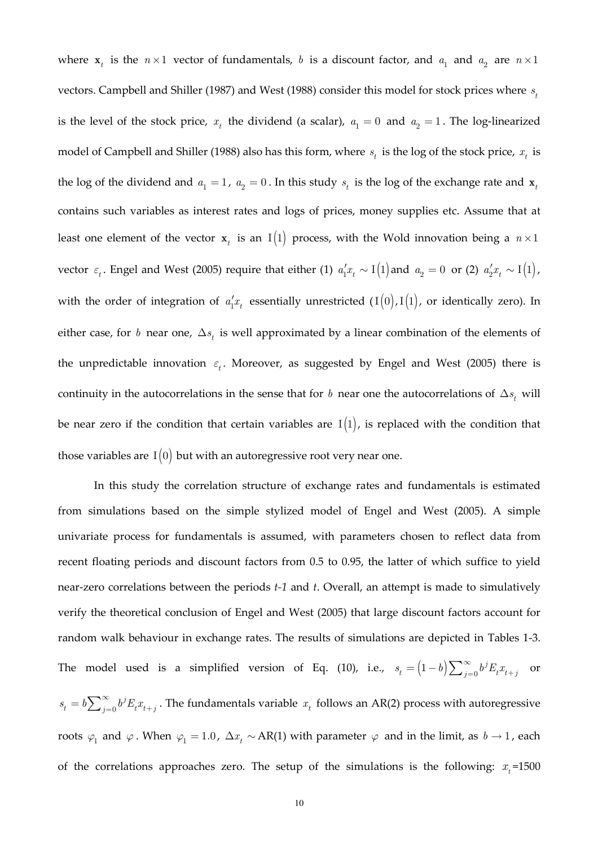where  $\mathbf{x}_t$  is the  $n \times 1$  vector of fundamentals, *b* is a discount factor, and  $a_1$  and  $a_2$  are  $n \times 1$ vectors. Campbell and Shiller (1987) and West (1988) consider this model for stock prices where *<sup>t</sup> s* is the level of the stock price,  $x_t$  the dividend (a scalar),  $a_1 = 0$  and  $a_2 = 1$ . The log-linearized model of Campbell and Shiller (1988) also has this form, where  $s_t$  is the log of the stock price,  $x_t$  is the log of the dividend and  $a_1 = 1$ ,  $a_2 = 0$ . In this study  $s_t$  is the log of the exchange rate and  $\mathbf{x}_t$ contains such variables as interest rates and logs of prices, money supplies etc. Assume that at least one element of the vector  $\mathbf{x}_t$  is an I $(1)$  process, with the Wold innovation being a  $n \times 1$ vector  $\varepsilon_t$ . Engel and West (2005) require that either (1)  $a'_1 x_t \sim I(1)$  and  $a_2 = 0$  or (2)  $a'_2 x_t \sim I(1)$ , with the order of integration of  $a'_1 x_t$  essentially unrestricted  $(I(0), I(1))$ , or identically zero). In either case, for *b* near one,  $\Delta s$  is well approximated by a linear combination of the elements of the unpredictable innovation  $\varepsilon_t$ . Moreover, as suggested by Engel and West (2005) there is continuity in the autocorrelations in the sense that for *b* near one the autocorrelations of  $\Delta s$ <sub>t</sub> will be near zero if the condition that certain variables are  $I(1)$ , is replaced with the condition that those variables are  $I(0)$  but with an autoregressive root very near one.

In this study the correlation structure of exchange rates and fundamentals is estimated from simulations based on the simple stylized model of Engel and West (2005). A simple univariate process for fundamentals is assumed, with parameters chosen to reflect data from recent floating periods and discount factors from 0.5 to 0.95, the latter of which suffice to yield near-zero correlations between the periods *t-1* and *t*. Overall, an attempt is made to simulatively verify the theoretical conclusion of Engel and West (2005) that large discount factors account for random walk behaviour in exchange rates. The results of simulations are depicted in Tables 1-3. The model used is a simplified version of Eq. (10), i.e.,  $s_t = (1-b)\sum_{j=0}^{\infty} b^j$  $s_t = \left(1-b\right)\sum\nolimits_{j=0}^\infty b^jE_tx_{t+j}$  or 0 *j*  $s_t = b \sum_{j=0}^{\infty} b^j E_t x_{t+j}$ . The fundamentals variable  $x_t$  follows an AR(2) process with autoregressive roots  $\varphi_1$  and  $\varphi$ . When  $\varphi_1 = 1.0$ ,  $\Delta x_t \sim AR(1)$  with parameter  $\varphi$  and in the limit, as  $b \to 1$ , each

of the correlations approaches zero. The setup of the simulations is the following:  $x<sub>t</sub>$ =1500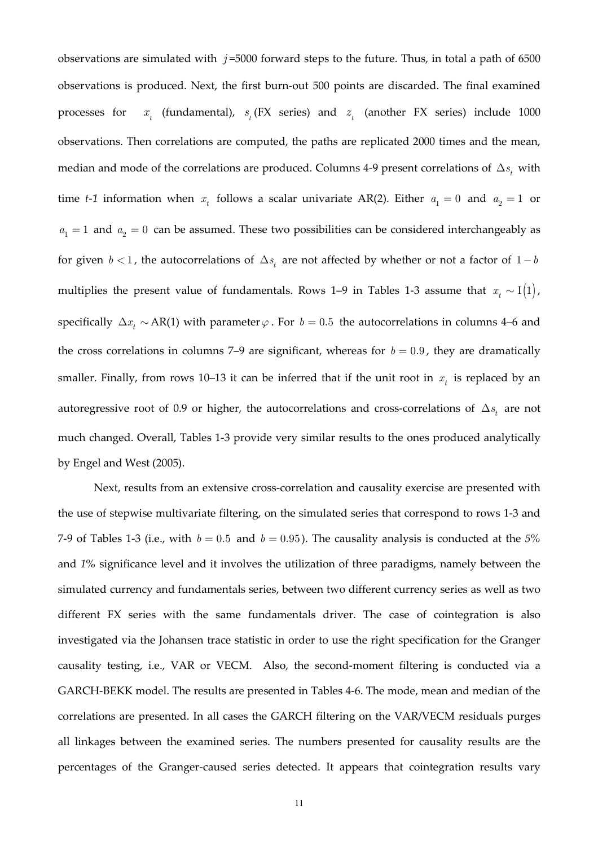observations are simulated with  $j = 5000$  forward steps to the future. Thus, in total a path of 6500 observations is produced. Next, the first burn-out 500 points are discarded. The final examined processes for *<sup>t</sup>*  $x_t$  (fundamental),  $s_t$  (FX series) and  $z_t$  (another FX series) include 1000 observations. Then correlations are computed, the paths are replicated 2000 times and the mean, median and mode of the correlations are produced. Columns 4-9 present correlations of  $\Delta s$ , with time *t*-1 information when  $x_t$  follows a scalar univariate AR(2). Either  $a_1 = 0$  and  $a_2 = 1$  or  $a_1 = 1$  and  $a_2 = 0$  can be assumed. These two possibilities can be considered interchangeably as for given *b* < 1, the autocorrelations of  $\Delta s$  are not affected by whether or not a factor of 1 – *b* multiplies the present value of fundamentals. Rows 1–9 in Tables 1-3 assume that  $x_t \sim I(1)$ , specifically  $\Delta x_t \sim AR(1)$  with parameter  $\varphi$ . For *b* = 0.5 the autocorrelations in columns 4–6 and the cross correlations in columns 7–9 are significant, whereas for  $b = 0.9$ , they are dramatically smaller. Finally, from rows 10–13 it can be inferred that if the unit root in  $x_t$  is replaced by an autoregressive root of 0.9 or higher, the autocorrelations and cross-correlations of  $\Delta s$ <sub>t</sub> are not much changed. Overall, Tables 1-3 provide very similar results to the ones produced analytically by Engel and West (2005).

Next, results from an extensive cross-correlation and causality exercise are presented with the use of stepwise multivariate filtering, on the simulated series that correspond to rows 1-3 and 7-9 of Tables 1-3 (i.e., with  $b = 0.5$  and  $b = 0.95$ ). The causality analysis is conducted at the 5% and *1%* significance level and it involves the utilization of three paradigms, namely between the simulated currency and fundamentals series, between two different currency series as well as two different FX series with the same fundamentals driver. The case of cointegration is also investigated via the Johansen trace statistic in order to use the right specification for the Granger causality testing, i.e., VAR or VECM. Also, the second-moment filtering is conducted via a GARCH-BEKK model. The results are presented in Tables 4-6. The mode, mean and median of the correlations are presented. In all cases the GARCH filtering on the VAR/VECM residuals purges all linkages between the examined series. The numbers presented for causality results are the percentages of the Granger-caused series detected. It appears that cointegration results vary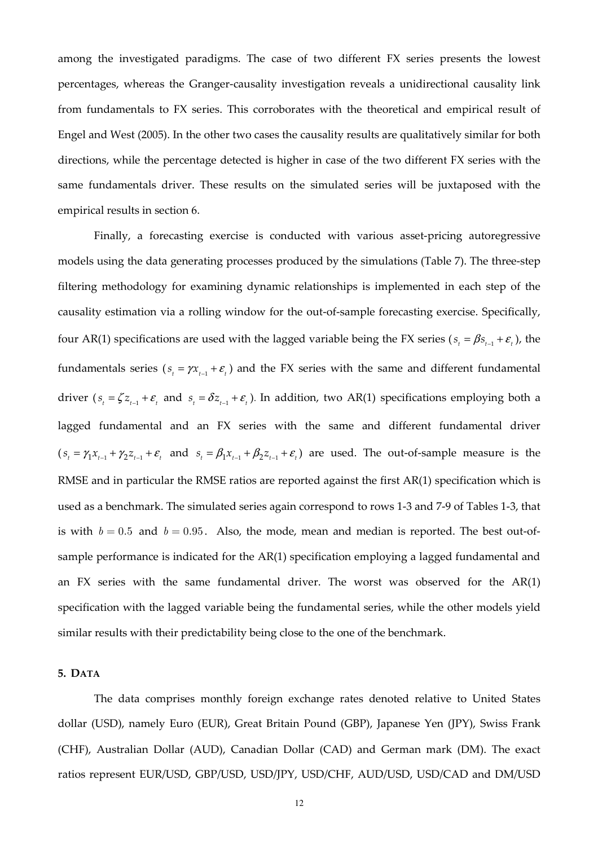among the investigated paradigms. The case of two different FX series presents the lowest percentages, whereas the Granger-causality investigation reveals a unidirectional causality link from fundamentals to FX series. This corroborates with the theoretical and empirical result of Engel and West (2005). In the other two cases the causality results are qualitatively similar for both directions, while the percentage detected is higher in case of the two different FX series with the same fundamentals driver. These results on the simulated series will be juxtaposed with the empirical results in section 6.

Finally, a forecasting exercise is conducted with various asset-pricing autoregressive models using the data generating processes produced by the simulations (Table 7). The three-step filtering methodology for examining dynamic relationships is implemented in each step of the causality estimation via a rolling window for the out-of-sample forecasting exercise. Specifically, four AR(1) specifications are used with the lagged variable being the FX series ( $s_t = \beta s_{t-1} + \varepsilon_t$ ), the fundamentals series ( $s_t = \gamma x_{t-1} + \varepsilon_t$ ) and the FX series with the same and different fundamental driver  $(s_t = \zeta z_{t-1} + \varepsilon_t$  and  $s_t = \delta z_{t-1} + \varepsilon_t$ ). In addition, two AR(1) specifications employing both a lagged fundamental and an FX series with the same and different fundamental driver  $(s_{i} = \gamma_1 x_{i-1} + \gamma_2 z_{i-1} + \varepsilon_i$  and  $s_{i} = \beta_1 x_{i-1} + \beta_2 z_{i-1} + \varepsilon_i$  are used. The out-of-sample measure is the RMSE and in particular the RMSE ratios are reported against the first AR(1) specification which is used as a benchmark. The simulated series again correspond to rows 1-3 and 7-9 of Tables 1-3, that is with  $b = 0.5$  and  $b = 0.95$ . Also, the mode, mean and median is reported. The best out-ofsample performance is indicated for the AR(1) specification employing a lagged fundamental and an FX series with the same fundamental driver. The worst was observed for the AR(1) specification with the lagged variable being the fundamental series, while the other models yield similar results with their predictability being close to the one of the benchmark.

## **5. DATA**

The data comprises monthly foreign exchange rates denoted relative to United States dollar (USD), namely Euro (EUR), Great Britain Pound (GBP), Japanese Yen (JPY), Swiss Frank (CHF), Australian Dollar (AUD), Canadian Dollar (CAD) and German mark (DM). The exact ratios represent EUR/USD, GBP/USD, USD/JPY, USD/CHF, AUD/USD, USD/CAD and DM/USD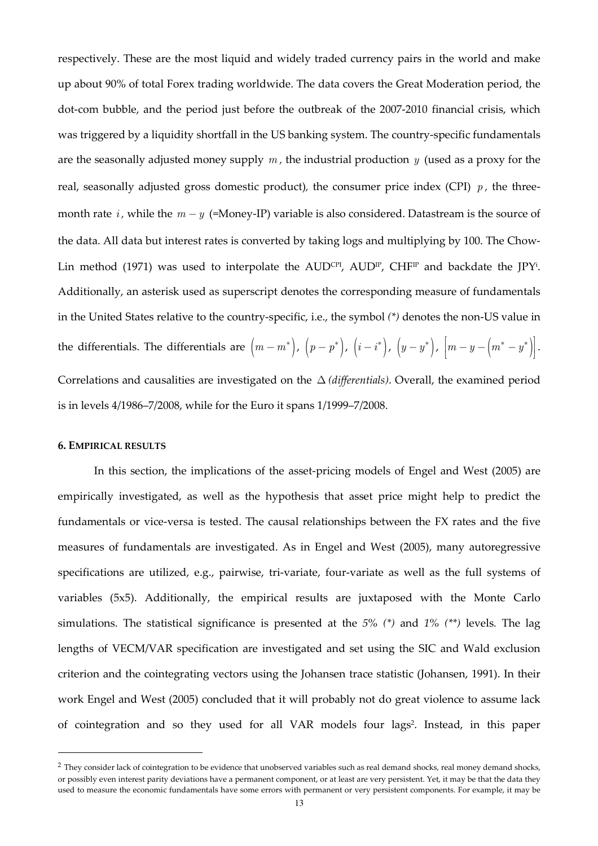respectively. These are the most liquid and widely traded currency pairs in the world and make up about 90% of total Forex trading worldwide. The data covers the Great Moderation period, the dot-com bubble, and the period just before the outbreak of the 2007-2010 financial crisis, which was triggered by a liquidity shortfall in the US banking system. The country-specific fundamentals are the seasonally adjusted money supply *m ,* the industrial production *y* (used as a proxy for the real, seasonally adjusted gross domestic product)*,* the consumer price index (CPI) *p ,* the threemonth rate *i*, while the  $m - y$  (=Money-IP) variable is also considered. Datastream is the source of the data. All data but interest rates is converted by taking logs and multiplying by 100. The Chow-Lin method (1971) was used to interpolate the AUD<sup>cri</sup>, AUD<sup>Ir</sup>, CHF<sup>Ir</sup> and backdate the JPY<sup>i</sup>. Additionally, an asterisk used as superscript denotes the corresponding measure of fundamentals in the United States relative to the country-specific, i.e., the symbol *(\*)* denotes the non-US value in the differentials. The differentials are  $(m - m^*)$ ,  $(p - p^*)$ ,  $(i - i^*)$ ,  $(y - y^*)$ ,  $\left[m - y - \left(m^* - y^*\right)\right]$ . Correlations and causalities are investigated on the ∆ *(differentials)*. Overall, the examined period is in levels 4/1986–7/2008, while for the Euro it spans 1/1999–7/2008.

## **6. EMPIRICAL RESULTS**

 $\overline{a}$ 

In this section, the implications of the asset-pricing models of Engel and West (2005) are empirically investigated, as well as the hypothesis that asset price might help to predict the fundamentals or vice-versa is tested. The causal relationships between the FX rates and the five measures of fundamentals are investigated. As in Engel and West (2005), many autoregressive specifications are utilized, e.g., pairwise, tri-variate, four-variate as well as the full systems of variables (5x5). Additionally, the empirical results are juxtaposed with the Monte Carlo simulations. The statistical significance is presented at the *5% (\*)* and *1% (\*\*)* levels*.* The lag lengths of VECM/VAR specification are investigated and set using the SIC and Wald exclusion criterion and the cointegrating vectors using the Johansen trace statistic (Johansen, 1991). In their work Engel and West (2005) concluded that it will probably not do great violence to assume lack of cointegration and so they used for all VAR models four lags<sup>2</sup>. Instead, in this paper

 $<sup>2</sup>$  They consider lack of cointegration to be evidence that unobserved variables such as real demand shocks, real money demand shocks,</sup> or possibly even interest parity deviations have a permanent component, or at least are very persistent. Yet, it may be that the data they used to measure the economic fundamentals have some errors with permanent or very persistent components. For example, it may be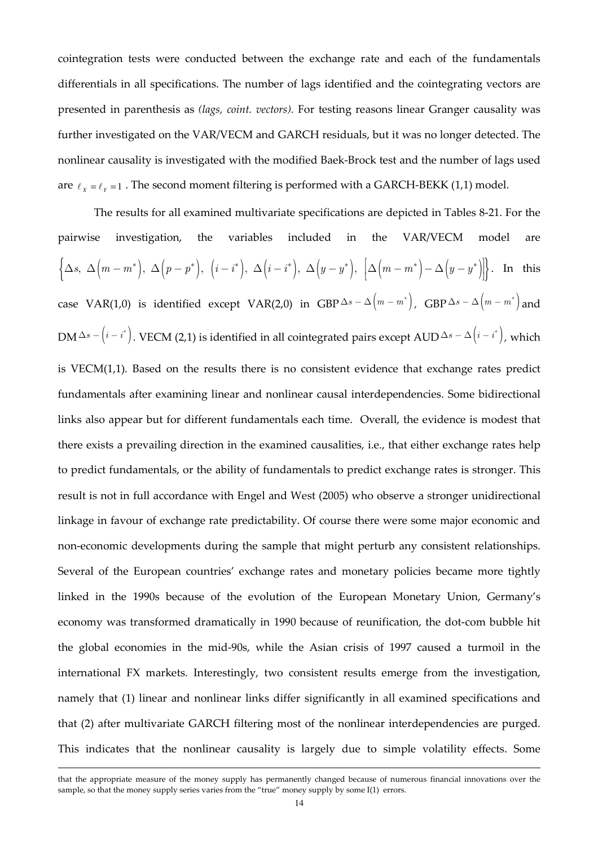cointegration tests were conducted between the exchange rate and each of the fundamentals differentials in all specifications. The number of lags identified and the cointegrating vectors are presented in parenthesis as *(lags, coint. vectors).* For testing reasons linear Granger causality was further investigated on the VAR/VECM and GARCH residuals, but it was no longer detected. The nonlinear causality is investigated with the modified Baek-Brock test and the number of lags used are  $\ell_{\chi} = \ell_{\gamma} = 1$ . The second moment filtering is performed with a GARCH-BEKK (1,1) model.

The results for all examined multivariate specifications are depicted in Tables 8-21. For the pairwise investigation, the variables included in the VAR/VECM model are  $\left\{\Delta s, \Delta\left(m-m^\ast\right), \Delta\left(p-p^\ast\right), \left(i-i^\ast\right), \Delta\left(i-i^\ast\right), \Delta\left(y-y^\ast\right), \left[\Delta\left(m-m^\ast\right)-\Delta\left(y-y^\ast\right)\right]\right\}.$  In this case VAR(1,0) is identified except VAR(2,0) in  $\text{GBP}\,\Delta s-\Delta\bigl(m-m^*\bigr)$ ,  $\text{GBP}\,\Delta s-\Delta\bigl(m-m^*\bigr)$  and DM  $\Delta s$  -  $\left(i-i^{*}\right)$ . VECM (2,1) is identified in all cointegrated pairs except AUD  $\Delta s$  -  $\Delta\left(i-i^{*}\right)$ , which is VECM(1,1)*.* Based on the results there is no consistent evidence that exchange rates predict fundamentals after examining linear and nonlinear causal interdependencies. Some bidirectional links also appear but for different fundamentals each time. Overall, the evidence is modest that there exists a prevailing direction in the examined causalities, i.e., that either exchange rates help to predict fundamentals, or the ability of fundamentals to predict exchange rates is stronger. This result is not in full accordance with Engel and West (2005) who observe a stronger unidirectional linkage in favour of exchange rate predictability. Of course there were some major economic and non-economic developments during the sample that might perturb any consistent relationships. Several of the European countries' exchange rates and monetary policies became more tightly linked in the 1990s because of the evolution of the European Monetary Union, Germany's economy was transformed dramatically in 1990 because of reunification, the dot-com bubble hit the global economies in the mid-90s, while the Asian crisis of 1997 caused a turmoil in the international FX markets. Interestingly, two consistent results emerge from the investigation, namely that (1) linear and nonlinear links differ significantly in all examined specifications and that (2) after multivariate GARCH filtering most of the nonlinear interdependencies are purged. This indicates that the nonlinear causality is largely due to simple volatility effects. Some

that the appropriate measure of the money supply has permanently changed because of numerous financial innovations over the sample, so that the money supply series varies from the "true" money supply by some I(1) errors.

l.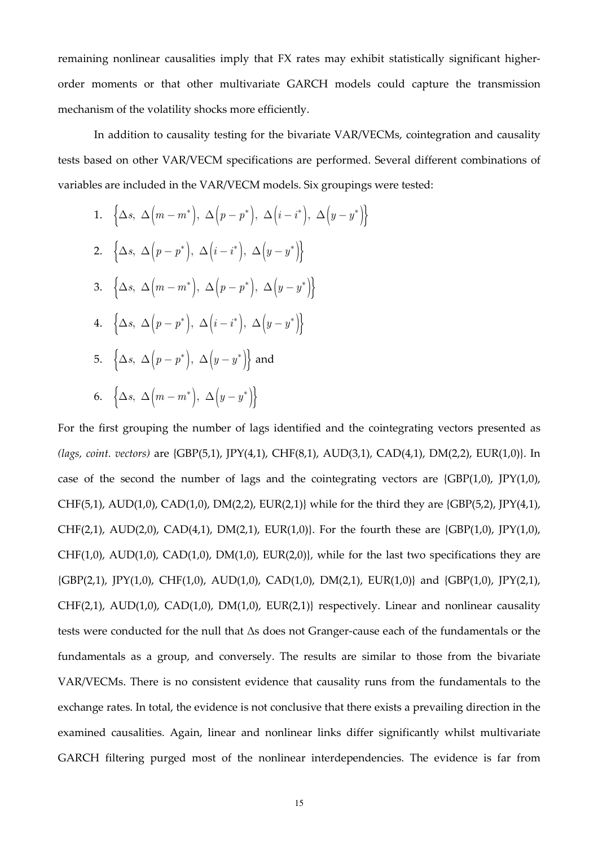remaining nonlinear causalities imply that FX rates may exhibit statistically significant higherorder moments or that other multivariate GARCH models could capture the transmission mechanism of the volatility shocks more efficiently.

In addition to causality testing for the bivariate VAR/VECMs, cointegration and causality tests based on other VAR/VECM specifications are performed. Several different combinations of variables are included in the VAR/VECM models. Six groupings were tested:

1. 
$$
\{\Delta s, \Delta \left(m - m^*\right), \Delta \left(p - p^*\right), \Delta \left(i - i^*\right), \Delta \left(y - y^*\right)\}
$$
  
\n2.  $\{\Delta s, \Delta \left(p - p^*\right), \Delta \left(i - i^*\right), \Delta \left(y - y^*\right)\}$   
\n3.  $\{\Delta s, \Delta \left(m - m^*\right), \Delta \left(p - p^*\right), \Delta \left(y - y^*\right)\}$   
\n4.  $\{\Delta s, \Delta \left(p - p^*\right), \Delta \left(i - i^*\right), \Delta \left(y - y^*\right)\}$   
\n5.  $\{\Delta s, \Delta \left(p - p^*\right), \Delta \left(y - y^*\right)\}$  and  
\n6.  $\{\Delta s, \Delta \left(m - m^*\right), \Delta \left(y - y^*\right)\}$ 

For the first grouping the number of lags identified and the cointegrating vectors presented as *(lags, coint. vectors)* are {GBP(5,1), JPY(4,1), CHF(8,1), AUD(3,1), CAD(4,1), DM(2,2), EUR(1,0)}. In case of the second the number of lags and the cointegrating vectors are  $\{GBP(1,0), \, \text{IPY}(1,0), \}$ CHF(5,1), AUD(1,0), CAD(1,0), DM(2,2), EUR(2,1)} while for the third they are {GBP(5,2), JPY(4,1), CHF(2,1), AUD(2,0), CAD(4,1), DM(2,1), EUR(1,0)}. For the fourth these are {GBP(1,0),  $[PY(1,0)$ ,  $CHF(1,0)$ ,  $AUD(1,0)$ ,  $CAD(1,0)$ ,  $DM(1,0)$ ,  $EUR(2,0)$ , while for the last two specifications they are  ${GBP(2,1)}$ ,  ${PY(1,0)}$ ,  $CHF(1,0)$ ,  $AUD(1,0)$ ,  $CAD(1,0)$ ,  $DM(2,1)$ ,  $EUR(1,0)$ } and  ${GBP(1,0)}$ ,  $[PY(2,1)$ ,  $CHF(2,1)$ ,  $AUD(1,0)$ ,  $CAD(1,0)$ ,  $DM(1,0)$ ,  $EUR(2,1)$ } respectively. Linear and nonlinear causality tests were conducted for the null that Δs does not Granger-cause each of the fundamentals or the fundamentals as a group, and conversely. The results are similar to those from the bivariate VAR/VECMs. There is no consistent evidence that causality runs from the fundamentals to the exchange rates. In total, the evidence is not conclusive that there exists a prevailing direction in the examined causalities. Again, linear and nonlinear links differ significantly whilst multivariate GARCH filtering purged most of the nonlinear interdependencies. The evidence is far from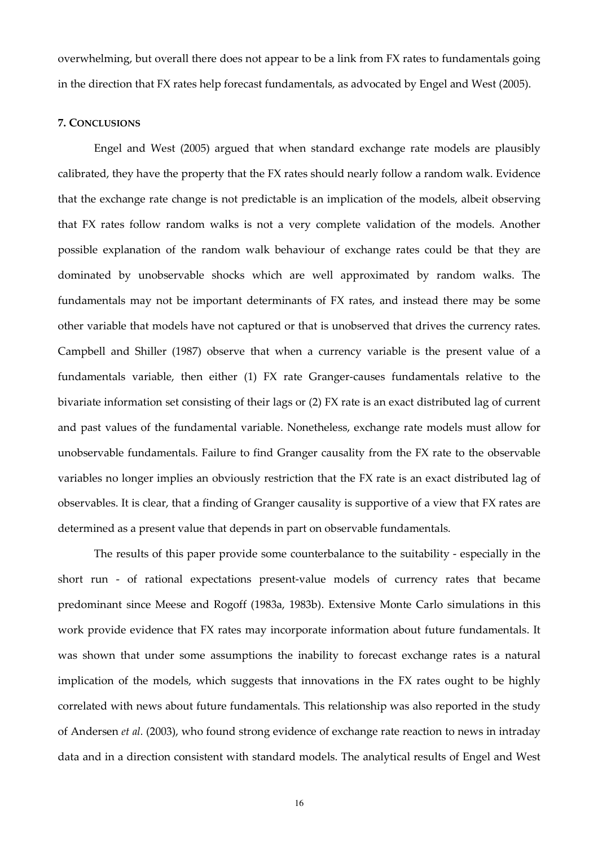overwhelming, but overall there does not appear to be a link from FX rates to fundamentals going in the direction that FX rates help forecast fundamentals, as advocated by Engel and West (2005).

#### **7. CONCLUSIONS**

Engel and West (2005) argued that when standard exchange rate models are plausibly calibrated, they have the property that the FX rates should nearly follow a random walk. Evidence that the exchange rate change is not predictable is an implication of the models, albeit observing that FX rates follow random walks is not a very complete validation of the models. Another possible explanation of the random walk behaviour of exchange rates could be that they are dominated by unobservable shocks which are well approximated by random walks. The fundamentals may not be important determinants of FX rates, and instead there may be some other variable that models have not captured or that is unobserved that drives the currency rates. Campbell and Shiller (1987) observe that when a currency variable is the present value of a fundamentals variable, then either (1) FX rate Granger-causes fundamentals relative to the bivariate information set consisting of their lags or (2) FX rate is an exact distributed lag of current and past values of the fundamental variable. Nonetheless, exchange rate models must allow for unobservable fundamentals. Failure to find Granger causality from the FX rate to the observable variables no longer implies an obviously restriction that the FX rate is an exact distributed lag of observables. It is clear, that a finding of Granger causality is supportive of a view that FX rates are determined as a present value that depends in part on observable fundamentals.

The results of this paper provide some counterbalance to the suitability - especially in the short run - of rational expectations present-value models of currency rates that became predominant since Meese and Rogoff (1983a, 1983b). Extensive Monte Carlo simulations in this work provide evidence that FX rates may incorporate information about future fundamentals. It was shown that under some assumptions the inability to forecast exchange rates is a natural implication of the models, which suggests that innovations in the FX rates ought to be highly correlated with news about future fundamentals. This relationship was also reported in the study of Andersen *et al.* (2003), who found strong evidence of exchange rate reaction to news in intraday data and in a direction consistent with standard models. The analytical results of Engel and West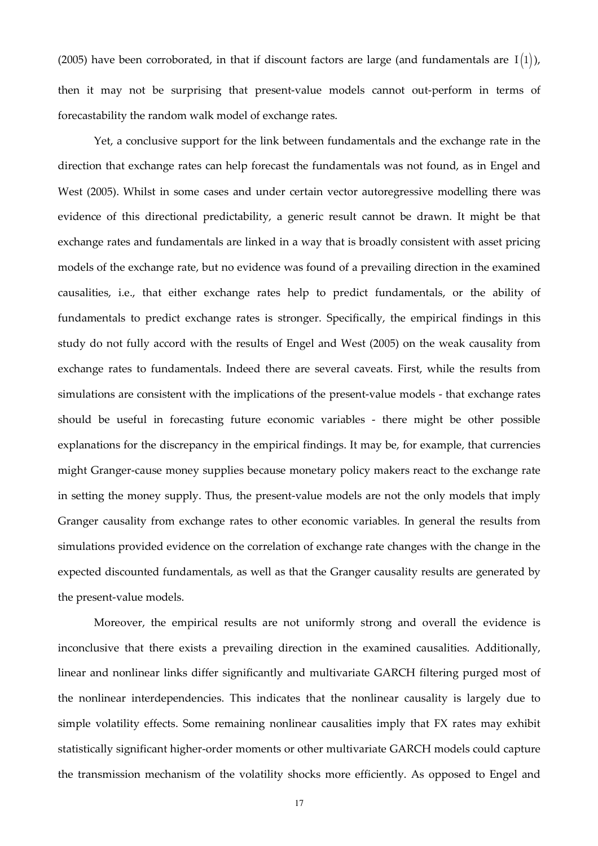(2005) have been corroborated, in that if discount factors are large (and fundamentals are  $I(1)$ ), then it may not be surprising that present-value models cannot out-perform in terms of forecastability the random walk model of exchange rates.

Yet, a conclusive support for the link between fundamentals and the exchange rate in the direction that exchange rates can help forecast the fundamentals was not found, as in Engel and West (2005). Whilst in some cases and under certain vector autoregressive modelling there was evidence of this directional predictability, a generic result cannot be drawn. It might be that exchange rates and fundamentals are linked in a way that is broadly consistent with asset pricing models of the exchange rate, but no evidence was found of a prevailing direction in the examined causalities, i.e., that either exchange rates help to predict fundamentals, or the ability of fundamentals to predict exchange rates is stronger. Specifically, the empirical findings in this study do not fully accord with the results of Engel and West (2005) on the weak causality from exchange rates to fundamentals. Indeed there are several caveats. First, while the results from simulations are consistent with the implications of the present-value models - that exchange rates should be useful in forecasting future economic variables - there might be other possible explanations for the discrepancy in the empirical findings. It may be, for example, that currencies might Granger-cause money supplies because monetary policy makers react to the exchange rate in setting the money supply. Thus, the present-value models are not the only models that imply Granger causality from exchange rates to other economic variables. In general the results from simulations provided evidence on the correlation of exchange rate changes with the change in the expected discounted fundamentals, as well as that the Granger causality results are generated by the present-value models.

Moreover, the empirical results are not uniformly strong and overall the evidence is inconclusive that there exists a prevailing direction in the examined causalities. Additionally, linear and nonlinear links differ significantly and multivariate GARCH filtering purged most of the nonlinear interdependencies. This indicates that the nonlinear causality is largely due to simple volatility effects. Some remaining nonlinear causalities imply that FX rates may exhibit statistically significant higher-order moments or other multivariate GARCH models could capture the transmission mechanism of the volatility shocks more efficiently. As opposed to Engel and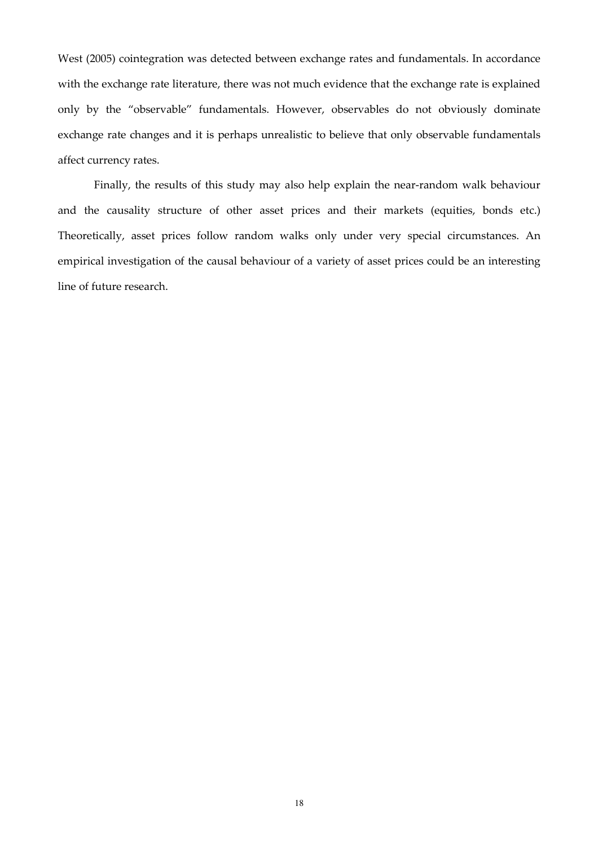West (2005) cointegration was detected between exchange rates and fundamentals. In accordance with the exchange rate literature, there was not much evidence that the exchange rate is explained only by the "observable" fundamentals. However, observables do not obviously dominate exchange rate changes and it is perhaps unrealistic to believe that only observable fundamentals affect currency rates.

Finally, the results of this study may also help explain the near-random walk behaviour and the causality structure of other asset prices and their markets (equities, bonds etc.) Theoretically, asset prices follow random walks only under very special circumstances. An empirical investigation of the causal behaviour of a variety of asset prices could be an interesting line of future research.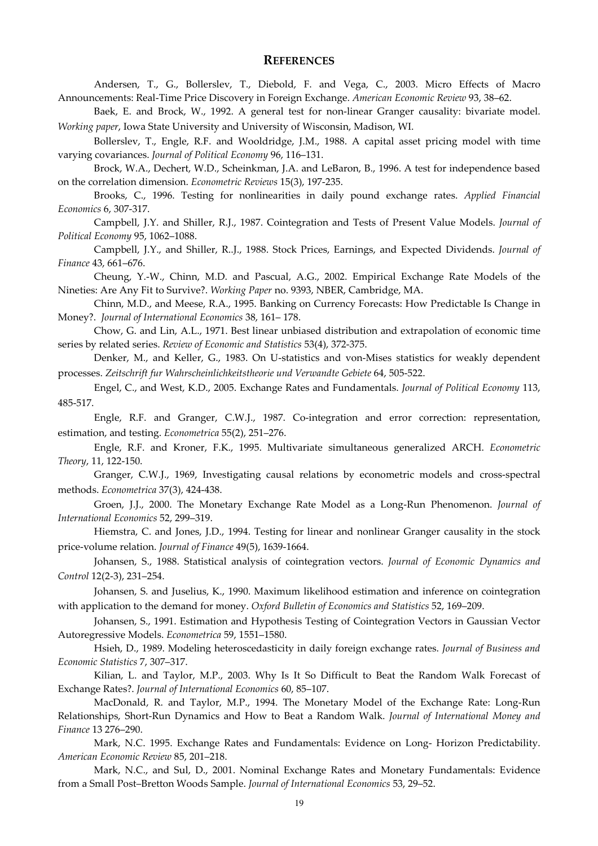## **REFERENCES**

Andersen, T., G., Bollerslev, T., Diebold, F. and Vega, C., 2003. Micro Effects of Macro Announcements: Real-Time Price Discovery in Foreign Exchange. *American Economic Review* 93, 38–62.

Baek, E. and Brock, W., 1992. A general test for non-linear Granger causality: bivariate model. *Working paper*, Iowa State University and University of Wisconsin, Madison, WI.

Bollerslev, T., Engle, R.F. and Wooldridge, J.M., 1988. A capital asset pricing model with time varying covariances. *Journal of Political Economy* 96, 116–131.

Brock, W.A., Dechert, W.D., Scheinkman, J.A. and LeBaron, B., 1996. A test for independence based on the correlation dimension. *Econometric Reviews* 15(3), 197-235.

Brooks, C., 1996. Testing for nonlinearities in daily pound exchange rates. *Applied Financial Economics* 6, 307-317.

Campbell, J.Y. and Shiller, R.J., 1987. Cointegration and Tests of Present Value Models. *Journal of Political Economy* 95, 1062–1088.

Campbell, J.Y., and Shiller, R..J., 1988. Stock Prices, Earnings, and Expected Dividends. *Journal of Finance* 43, 661–676.

Cheung, Y.-W., Chinn, M.D. and Pascual, A.G., 2002. Empirical Exchange Rate Models of the Nineties: Are Any Fit to Survive?. *Working Paper* no. 9393, NBER, Cambridge, MA.

Chinn, M.D., and Meese, R.A., 1995. Banking on Currency Forecasts: How Predictable Is Change in Money?. *Journal of International Economics* 38, 161– 178.

Chow, G. and Lin, A.L., 1971. Best linear unbiased distribution and extrapolation of economic time series by related series. *Review of Economic and Statistics* 53(4), 372-375.

Denker, M., and Keller, G., 1983. On U-statistics and von-Mises statistics for weakly dependent processes. *Zeitschrift fur Wahrscheinlichkeitstheorie und Verwandte Gebiete* 64, 505-522.

Engel, C., and West, K.D., 2005. Exchange Rates and Fundamentals. *Journal of Political Economy* 113, 485-517.

Engle, R.F. and Granger, C.W.J., 1987. Co-integration and error correction: representation, estimation, and testing. *Econometrica* 55(2), 251–276.

Engle, R.F. and Kroner, F.K., 1995. Multivariate simultaneous generalized ARCH. *Econometric Theory*, 11, 122-150.

Granger, C.W.J., 1969, Investigating causal relations by econometric models and cross-spectral methods. *Econometrica* 37(3), 424-438.

Groen, J.J., 2000. The Monetary Exchange Rate Model as a Long-Run Phenomenon. *Journal of International Economics* 52, 299–319.

Hiemstra, C. and Jones, J.D., 1994. Testing for linear and nonlinear Granger causality in the stock price-volume relation. *Journal of Finance* 49(5), 1639-1664.

Johansen, S., 1988. Statistical analysis of cointegration vectors. *Journal of Economic Dynamics and Control* 12(2-3), 231–254.

Johansen, S. and Juselius, K., 1990. Maximum likelihood estimation and inference on cointegration with application to the demand for money. *Oxford Bulletin of Economics and Statistics* 52, 169–209.

Johansen, S., 1991. Estimation and Hypothesis Testing of Cointegration Vectors in Gaussian Vector Autoregressive Models. *Econometrica* 59, 1551–1580.

Hsieh, D., 1989. Modeling heteroscedasticity in daily foreign exchange rates. *Journal of Business and Economic Statistics* 7, 307–317.

Kilian, L. and Taylor, M.P., 2003. Why Is It So Difficult to Beat the Random Walk Forecast of Exchange Rates?. *Journal of International Economics* 60, 85–107.

MacDonald, R. and Taylor, M.P., 1994. The Monetary Model of the Exchange Rate: Long-Run Relationships, Short-Run Dynamics and How to Beat a Random Walk. *Journal of International Money and Finance* 13 276–290.

Mark, N.C. 1995. Exchange Rates and Fundamentals: Evidence on Long- Horizon Predictability. *American Economic Review* 85, 201–218.

Mark, N.C., and Sul, D., 2001. Nominal Exchange Rates and Monetary Fundamentals: Evidence from a Small Post–Bretton Woods Sample. *Journal of International Economics* 53, 29–52.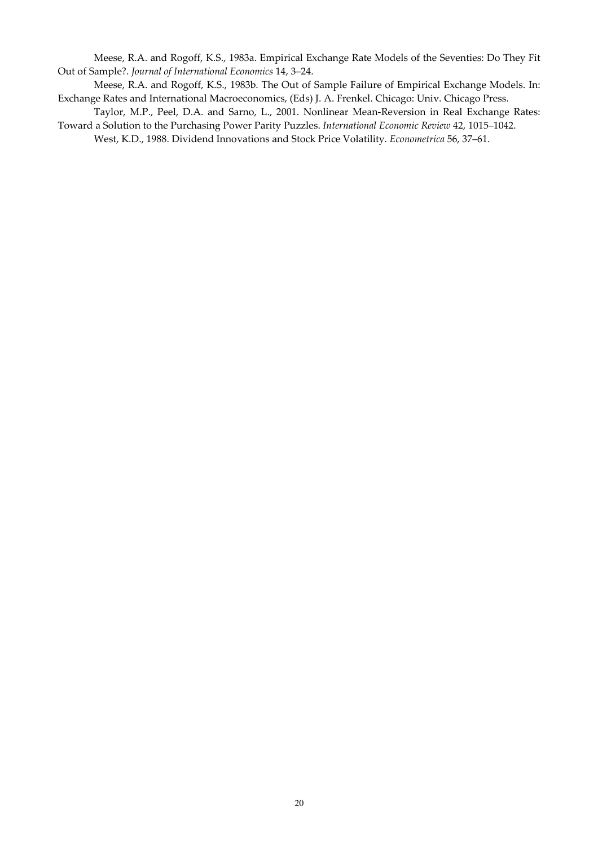Meese, R.A. and Rogoff, K.S., 1983a. Empirical Exchange Rate Models of the Seventies: Do They Fit Out of Sample?. *Journal of International Economics* 14, 3–24.

Meese, R.A. and Rogoff, K.S., 1983b. The Out of Sample Failure of Empirical Exchange Models. In: Exchange Rates and International Macroeconomics, (Eds) J. A. Frenkel. Chicago: Univ. Chicago Press.

Taylor, M.P., Peel, D.A. and Sarno, L., 2001. Nonlinear Mean-Reversion in Real Exchange Rates: Toward a Solution to the Purchasing Power Parity Puzzles. *International Economic Review* 42, 1015–1042.

West, K.D., 1988. Dividend Innovations and Stock Price Volatility. *Econometrica* 56, 37–61.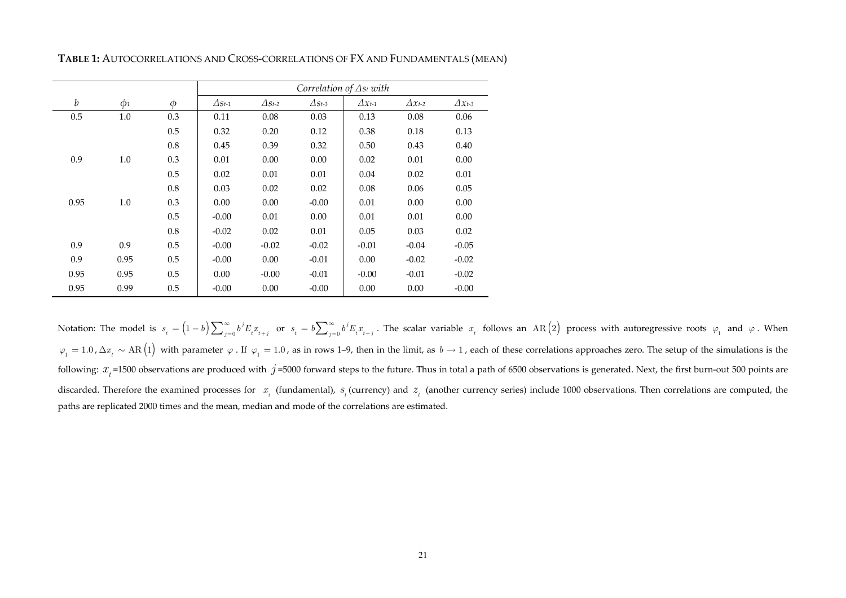|                  |          |        | Correlation of $\Delta s_t$ with |               |               |                  |                  |                  |  |
|------------------|----------|--------|----------------------------------|---------------|---------------|------------------|------------------|------------------|--|
| $\boldsymbol{b}$ | $\phi_1$ | $\phi$ | $\Delta s_{t-1}$                 | $\Delta$ St-2 | $\Delta$ St-3 | $\Delta x_{t-1}$ | $\Delta x_{t-2}$ | $\Delta x_{t-3}$ |  |
| 0.5              | 1.0      | 0.3    | 0.11                             | 0.08          | 0.03          | 0.13             | 0.08             | 0.06             |  |
|                  |          | 0.5    | 0.32                             | 0.20          | 0.12          | 0.38             | 0.18             | 0.13             |  |
|                  |          | 0.8    | 0.45                             | 0.39          | 0.32          | 0.50             | 0.43             | 0.40             |  |
| 0.9              | 1.0      | 0.3    | 0.01                             | 0.00          | 0.00          | 0.02             | 0.01             | 0.00             |  |
|                  |          | 0.5    | 0.02                             | 0.01          | 0.01          | 0.04             | 0.02             | 0.01             |  |
|                  |          | 0.8    | 0.03                             | 0.02          | 0.02          | 0.08             | 0.06             | 0.05             |  |
| 0.95             | 1.0      | 0.3    | 0.00                             | 0.00          | $-0.00$       | 0.01             | 0.00             | 0.00             |  |
|                  |          | 0.5    | $-0.00$                          | 0.01          | 0.00          | 0.01             | 0.01             | 0.00             |  |
|                  |          | 0.8    | $-0.02$                          | 0.02          | 0.01          | 0.05             | 0.03             | 0.02             |  |
| 0.9              | 0.9      | 0.5    | $-0.00$                          | $-0.02$       | $-0.02$       | $-0.01$          | $-0.04$          | $-0.05$          |  |
| 0.9              | 0.95     | 0.5    | $-0.00$                          | 0.00          | $-0.01$       | 0.00             | $-0.02$          | $-0.02$          |  |
| 0.95             | 0.95     | 0.5    | 0.00                             | $-0.00$       | $-0.01$       | $-0.00$          | $-0.01$          | $-0.02$          |  |
| 0.95             | 0.99     | 0.5    | $-0.00$                          | 0.00          | $-0.00$       | 0.00             | 0.00             | $-0.00$          |  |

**TABLE 1:** AUTOCORRELATIONS AND CROSS-CORRELATIONS OF FX AND FUNDAMENTALS (MEAN)

Notation: The model is  $s_t = (1-b)\sum_{j=0}^{\infty} b^j E_i x_{t+j}$  or  $s_t = b\sum_{j=0}^{\infty} b^j E_i x_{t+j}$ . The scalar variable  $x_t$  follows an AR(2) process with autoregressive roots  $\varphi_1$  and  $\varphi$ . When  $\varphi_1 = 1.0$ ,  $\Delta x_t \sim \text{AR} (1)$  with parameter  $\varphi$ . If  $\varphi_1 = 1.0$ , as in rows 1–9, then in the limit, as  $b \to 1$ , each of these correlations approaches zero. The setup of the simulations is the following:  $x_t$ =1500 observations are produced with  $j$ =5000 forward steps to the future. Thus in total a path of 6500 observations is generated. Next, the first burn-out 500 points are discarded. Therefore the examined processes for  $x_{_t}$  (fundamental),  $s_{_t}$  (currency) and  $z_{_t}$  (another currency series) include 1000 observations. Then correlations are computed, the paths are replicated 2000 times and the mean, median and mode of the correlations are estimated.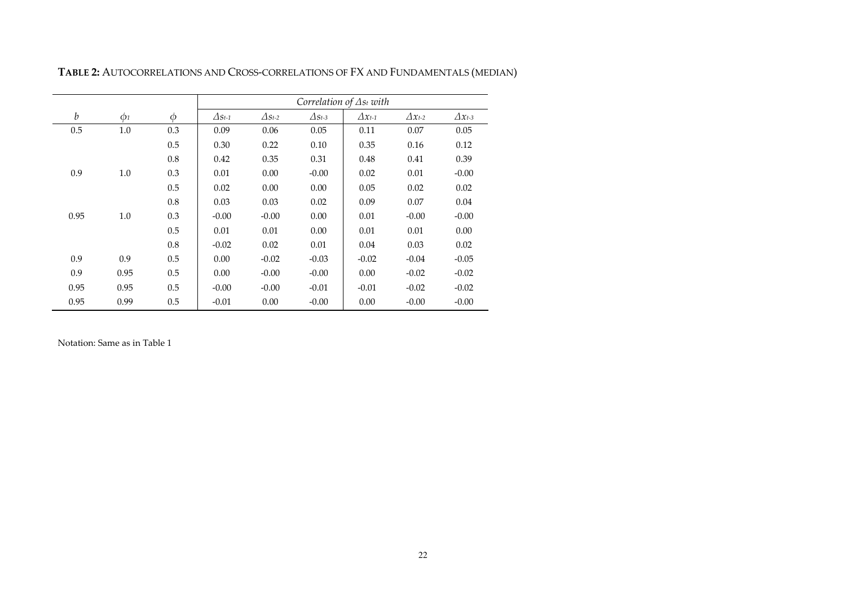|                  |          |        |                |               | Correlation of $\Delta s_t$ with |                  |                  |                  |
|------------------|----------|--------|----------------|---------------|----------------------------------|------------------|------------------|------------------|
| $\boldsymbol{b}$ | $\phi_1$ | $\phi$ | $\Delta s$ t-1 | $\Delta$ St-2 | $\varDelta s$ t-3                | $\Delta x_{t-1}$ | $\Delta x_{t-2}$ | $\Delta x_{t-3}$ |
| 0.5              | 1.0      | 0.3    | 0.09           | 0.06          | 0.05                             | 0.11             | 0.07             | 0.05             |
|                  |          | 0.5    | 0.30           | 0.22          | 0.10                             | 0.35             | 0.16             | 0.12             |
|                  |          | 0.8    | 0.42           | 0.35          | 0.31                             | 0.48             | 0.41             | 0.39             |
| 0.9              | 1.0      | 0.3    | 0.01           | 0.00          | $-0.00$                          | 0.02             | 0.01             | $-0.00$          |
|                  |          | 0.5    | 0.02           | 0.00          | 0.00                             | 0.05             | 0.02             | 0.02             |
|                  |          | 0.8    | 0.03           | 0.03          | 0.02                             | 0.09             | 0.07             | 0.04             |
| 0.95             | 1.0      | 0.3    | $-0.00$        | $-0.00$       | 0.00                             | 0.01             | $-0.00$          | $-0.00$          |
|                  |          | 0.5    | 0.01           | 0.01          | 0.00                             | 0.01             | 0.01             | 0.00             |
|                  |          | 0.8    | $-0.02$        | 0.02          | 0.01                             | 0.04             | 0.03             | 0.02             |
| 0.9              | 0.9      | 0.5    | 0.00           | $-0.02$       | $-0.03$                          | $-0.02$          | $-0.04$          | $-0.05$          |
| 0.9              | 0.95     | 0.5    | 0.00           | $-0.00$       | $-0.00$                          | 0.00             | $-0.02$          | $-0.02$          |
| 0.95             | 0.95     | 0.5    | $-0.00$        | $-0.00$       | $-0.01$                          | $-0.01$          | $-0.02$          | $-0.02$          |
| 0.95             | 0.99     | 0.5    | $-0.01$        | 0.00          | $-0.00$                          | 0.00             | $-0.00$          | $-0.00$          |

**TABLE 2:** AUTOCORRELATIONS AND CROSS-CORRELATIONS OF FX AND FUNDAMENTALS (MEDIAN)

Notation: Same as in Table 1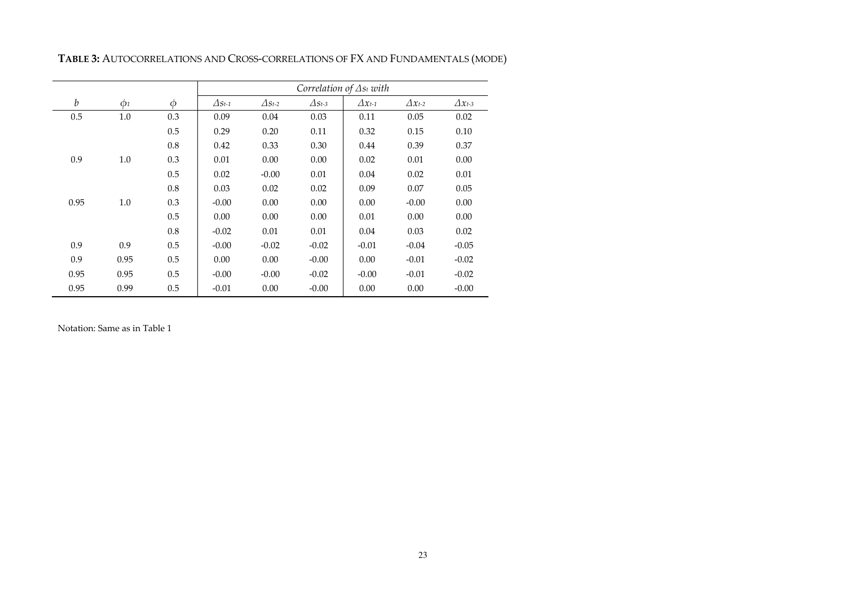|                  |          |        | Correlation of $\Delta s_t$ with |               |               |                  |                  |                  |  |
|------------------|----------|--------|----------------------------------|---------------|---------------|------------------|------------------|------------------|--|
| $\boldsymbol{b}$ | $\phi_1$ | $\phi$ | $\Delta$ St-1                    | $\Delta$ St-2 | $\Delta$ St-3 | $\Delta x_{t-1}$ | $\Delta x_{t-2}$ | $\Delta x_{t-3}$ |  |
| 0.5              | 1.0      | 0.3    | 0.09                             | 0.04          | 0.03          | 0.11             | 0.05             | 0.02             |  |
|                  |          | 0.5    | 0.29                             | 0.20          | 0.11          | 0.32             | 0.15             | 0.10             |  |
|                  |          | 0.8    | 0.42                             | 0.33          | 0.30          | 0.44             | 0.39             | 0.37             |  |
| 0.9              | 1.0      | 0.3    | 0.01                             | 0.00          | 0.00          | 0.02             | 0.01             | 0.00             |  |
|                  |          | 0.5    | 0.02                             | $-0.00$       | 0.01          | 0.04             | 0.02             | 0.01             |  |
|                  |          | 0.8    | 0.03                             | 0.02          | 0.02          | 0.09             | 0.07             | 0.05             |  |
| 0.95             | 1.0      | 0.3    | $-0.00$                          | 0.00          | 0.00          | 0.00             | $-0.00$          | 0.00             |  |
|                  |          | 0.5    | 0.00                             | 0.00          | 0.00          | 0.01             | 0.00             | 0.00             |  |
|                  |          | 0.8    | $-0.02$                          | 0.01          | 0.01          | 0.04             | 0.03             | 0.02             |  |
| 0.9              | 0.9      | 0.5    | $-0.00$                          | $-0.02$       | $-0.02$       | $-0.01$          | $-0.04$          | $-0.05$          |  |
| 0.9              | 0.95     | 0.5    | 0.00                             | 0.00          | $-0.00$       | 0.00             | $-0.01$          | $-0.02$          |  |
| 0.95             | 0.95     | 0.5    | $-0.00$                          | $-0.00$       | $-0.02$       | $-0.00$          | $-0.01$          | $-0.02$          |  |
| 0.95             | 0.99     | 0.5    | $-0.01$                          | 0.00          | $-0.00$       | 0.00             | 0.00             | $-0.00$          |  |

**TABLE 3:** AUTOCORRELATIONS AND CROSS-CORRELATIONS OF FX AND FUNDAMENTALS (MODE)

Notation: Same as in Table 1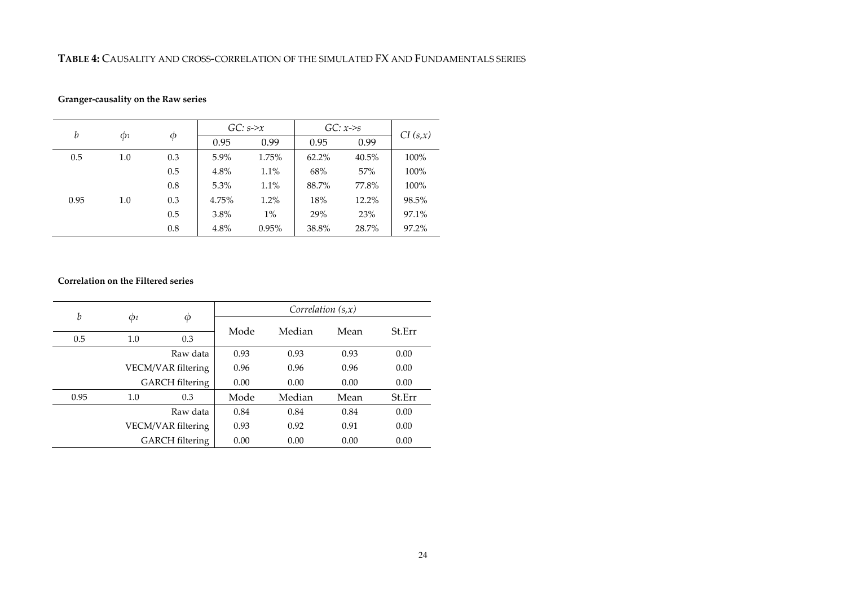#### **TABLE 4:** CAUSALITY AND CROSS-CORRELATION OF THE SIMULATED FX AND FUNDAMENTALS SERIES

## **Granger-causality on the Raw series**

| b    | $\phi_1$ |     | $GC: s \rightarrow x$ |       | $GC: x \rightarrow s$ |        | CI(s,x) |
|------|----------|-----|-----------------------|-------|-----------------------|--------|---------|
|      |          | Ф   | 0.95                  | 0.99  | 0.95                  | 0.99   |         |
| 0.5  | 1.0      | 0.3 | 5.9%                  | 1.75% | 62.2%                 | 40.5%  | 100%    |
|      |          | 0.5 | 4.8%                  | 1.1%  | 68%                   | $57\%$ | 100%    |
|      |          | 0.8 | 5.3%                  | 1.1%  | 88.7%                 | 77.8%  | 100%    |
| 0.95 | 1.0      | 0.3 | 4.75%                 | 1.2%  | 18%                   | 12.2%  | 98.5%   |
|      |          | 0.5 | 3.8%                  | $1\%$ | 29%                   | 23%    | 97.1%   |
|      |          | 0.8 | 4.8%                  | 0.95% | 38.8%                 | 28.7%  | 97.2%   |

## **Correlation on the Filtered series**

| b    |                     |                        | Correlation $(s,x)$ |        |      |        |  |  |
|------|---------------------|------------------------|---------------------|--------|------|--------|--|--|
|      | $\Phi$ <sub>1</sub> | Φ                      | Mode                | Median | Mean | St.Err |  |  |
| 0.5  | 1.0                 | 0.3                    |                     |        |      |        |  |  |
|      |                     | Raw data               | 0.93                | 0.93   | 0.93 | 0.00   |  |  |
|      |                     | VECM/VAR filtering     |                     | 0.96   | 0.96 | 0.00   |  |  |
|      |                     | <b>GARCH</b> filtering | 0.00                | 0.00   | 0.00 | 0.00   |  |  |
| 0.95 | 1.0                 | 0.3                    | Mode                | Median | Mean | St.Err |  |  |
|      |                     | Raw data               | 0.84                | 0.84   | 0.84 | 0.00   |  |  |
|      |                     | VECM/VAR filtering     |                     | 0.92   | 0.91 | 0.00   |  |  |
|      |                     | <b>GARCH</b> filtering | 0.00                | 0.00   | 0.00 | 0.00   |  |  |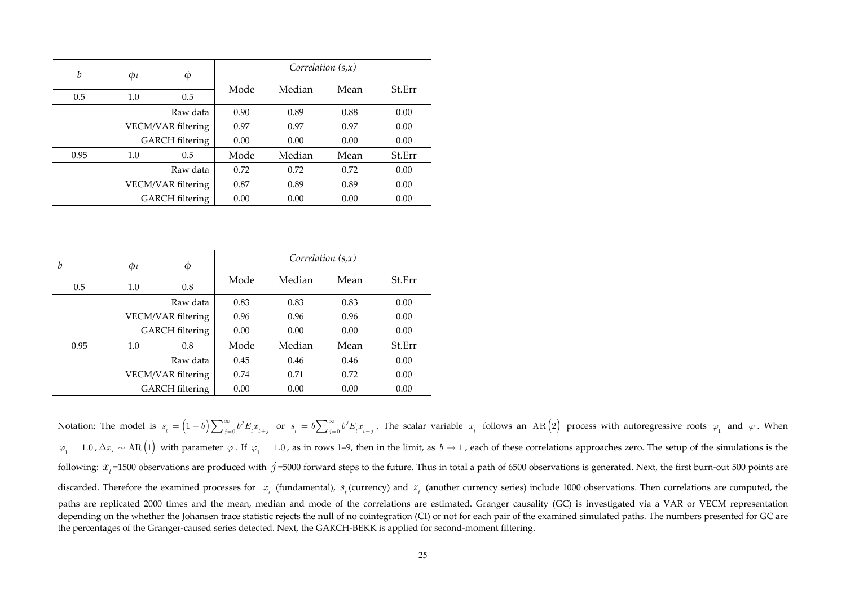| b    |          |                        |      | Correlation $(s,x)$ |      |        |  |
|------|----------|------------------------|------|---------------------|------|--------|--|
|      | $\phi_1$ | Φ                      | Mode | Median              | Mean | St.Err |  |
| 0.5  | 1.0      | 0.5                    |      |                     |      |        |  |
|      |          | Raw data               | 0.90 | 0.89                | 0.88 | 0.00   |  |
|      |          | VECM/VAR filtering     |      | 0.97                | 0.97 | 0.00   |  |
|      |          | <b>GARCH</b> filtering | 0.00 | 0.00                | 0.00 | 0.00   |  |
| 0.95 | 1.0      | 0.5                    | Mode | Median              | Mean | St.Err |  |
|      |          | Raw data               | 0.72 | 0.72                | 0.72 | 0.00   |  |
|      |          | VECM/VAR filtering     |      | 0.89                | 0.89 | 0.00   |  |
|      |          | <b>GARCH</b> filtering | 0.00 | 0.00                | 0.00 | 0.00   |  |

| $\boldsymbol{b}$ |          |                                              | Correlation $(s,x)$ |        |      |        |  |  |
|------------------|----------|----------------------------------------------|---------------------|--------|------|--------|--|--|
|                  | $\Phi$ 1 | Φ                                            | Mode                | Median | Mean | St.Err |  |  |
| 0.5              | 1.0      | 0.8                                          |                     |        |      |        |  |  |
|                  |          | Raw data                                     | 0.83                | 0.83   | 0.83 | 0.00   |  |  |
|                  |          | VECM/VAR filtering<br><b>GARCH</b> filtering |                     | 0.96   | 0.96 | 0.00   |  |  |
|                  |          |                                              |                     | 0.00   | 0.00 | 0.00   |  |  |
| 0.95             | 1.0      | 0.8                                          | Mode                | Median | Mean | St.Err |  |  |
|                  |          | Raw data                                     | 0.45                | 0.46   | 0.46 | 0.00   |  |  |
|                  |          | VECM/VAR filtering                           | 0.74                | 0.71   | 0.72 | 0.00   |  |  |
|                  |          | <b>GARCH</b> filtering                       | 0.00                | 0.00   | 0.00 | 0.00   |  |  |

Notation: The model is  $s_t = (1-b)\sum_{j=0}^{\infty} b^j E_t x_{t+j}$  or  $s_t = b\sum_{j=0}^{\infty} b^j E_t x_{t+j}$ . The scalar variable  $x_t$  follows an AR(2) process with autoregressive roots  $\varphi_1$  and  $\varphi$ . When  $\varphi_1 = 1.0$ ,  $\Delta x_t \sim \text{AR} (1)$  with parameter  $\varphi$ . If  $\varphi_1 = 1.0$ , as in rows 1–9, then in the limit, as  $b \to 1$ , each of these correlations approaches zero. The setup of the simulations is the following:  $x_t$ =1500 observations are produced with  $j$ =5000 forward steps to the future. Thus in total a path of 6500 observations is generated. Next, the first burn-out 500 points are discarded. Therefore the examined processes for  $x_{_t}$  (fundamental),  $s_{_t}$  (currency) and  $z_{_t}$  (another currency series) include 1000 observations. Then correlations are computed, the paths are replicated 2000 times and the mean, median and mode of the correlations are estimated. Granger causality (GC) is investigated via a VAR or VECM representation depending on the whether the Johansen trace statistic rejects the null of no cointegration (CI) or not for each pair of the examined simulated paths. The numbers presented for GC are the percentages of the Granger-caused series detected. Next, the GARCH-BEKK is applied for second-moment filtering.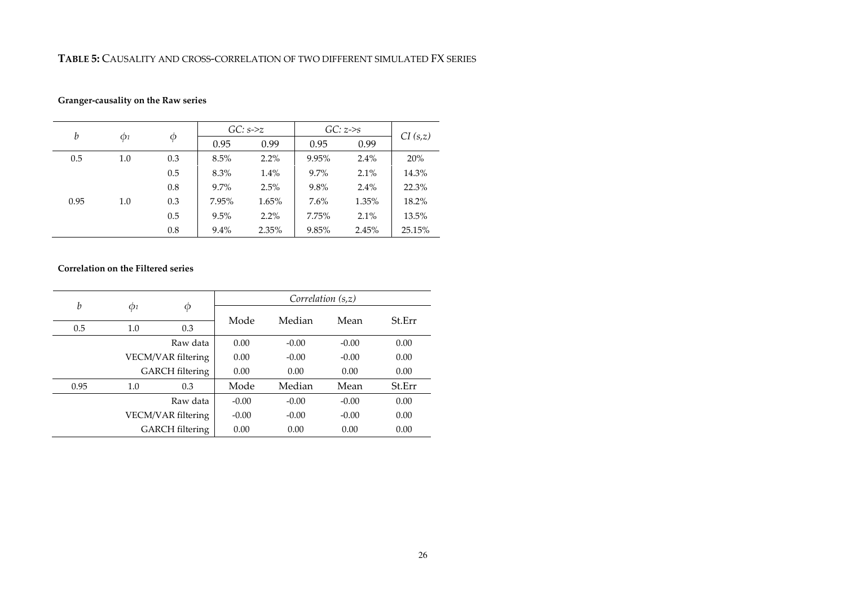#### **TABLE 5:** CAUSALITY AND CROSS-CORRELATION OF TWO DIFFERENT SIMULATED FX SERIES

## **Granger-causality on the Raw series**

| $\boldsymbol{b}$ |                     |     |         | $GC: s\rightarrow z$ | $GC: z \rightarrow s$ | CI(s,z) |        |
|------------------|---------------------|-----|---------|----------------------|-----------------------|---------|--------|
|                  | $\Phi$ <sub>1</sub> | Φ   | 0.95    | 0.99                 | 0.95                  | 0.99    |        |
| 0.5              | 1.0                 | 0.3 | 8.5%    | 2.2%                 | 9.95%                 | 2.4%    | 20%    |
|                  |                     | 0.5 | 8.3%    | 1.4%                 | $9.7\%$               | 2.1%    | 14.3%  |
|                  |                     | 0.8 | 9.7%    | 2.5%                 | 9.8%                  | 2.4%    | 22.3%  |
| 0.95             | 1.0                 | 0.3 | 7.95%   | 1.65%                | 7.6%                  | 1.35%   | 18.2%  |
|                  |                     | 0.5 | 9.5%    | 2.2%                 | 7.75%                 | 2.1%    | 13.5%  |
|                  |                     | 0.8 | $9.4\%$ | 2.35%                | 9.85%                 | 2.45%   | 25.15% |

#### **Correlation on the Filtered series**

| b    | $\phi_1$ | φ                      | Correlation $(s,z)$ |         |         |        |  |  |
|------|----------|------------------------|---------------------|---------|---------|--------|--|--|
|      |          |                        | Mode                | Median  | Mean    | St.Err |  |  |
| 0.5  | 1.0      | 0.3                    |                     |         |         |        |  |  |
|      |          | Raw data               |                     | $-0.00$ | $-0.00$ | 0.00   |  |  |
|      |          | VECM/VAR filtering     |                     | $-0.00$ | $-0.00$ | 0.00   |  |  |
|      |          | <b>GARCH</b> filtering |                     | 0.00    | 0.00    | 0.00   |  |  |
| 0.95 | 1.0      | 0.3                    | Mode                | Median  | Mean    | St.Err |  |  |
|      |          | Raw data               | $-0.00$             | $-0.00$ | $-0.00$ | 0.00   |  |  |
|      |          | VECM/VAR filtering     |                     | $-0.00$ | $-0.00$ | 0.00   |  |  |
|      |          | <b>GARCH</b> filtering | 0.00                | 0.00    | 0.00    | 0.00   |  |  |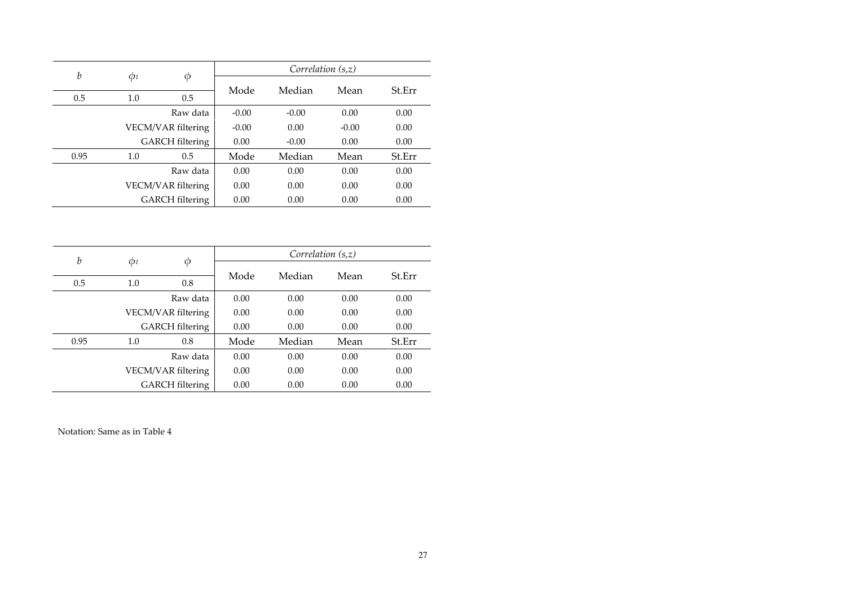| b    |          |                        |         | Correlation $(s,z)$ |         |        |  |
|------|----------|------------------------|---------|---------------------|---------|--------|--|
|      | $\phi_1$ | Φ                      | Mode    | Median              | Mean    | St.Err |  |
| 0.5  | 1.0      | 0.5                    |         |                     |         |        |  |
|      |          | Raw data               | $-0.00$ | $-0.00$             | 0.00    | 0.00   |  |
|      |          | VECM/VAR filtering     |         | 0.00                | $-0.00$ | 0.00   |  |
|      |          | <b>GARCH</b> filtering | 0.00    | $-0.00$             | 0.00    | 0.00   |  |
| 0.95 | 1.0      | 0.5                    | Mode    | Median              | Mean    | St.Err |  |
|      |          | Raw data               | 0.00    | 0.00                | 0.00    | 0.00   |  |
|      |          | VECM/VAR filtering     |         | 0.00                | 0.00    | 0.00   |  |
|      |          | <b>GARCH</b> filtering | 0.00    | 0.00                | 0.00    | 0.00   |  |

| $\boldsymbol{b}$ |                     |                                              |      | Correlation $(s,z)$ |      |        |  |  |  |
|------------------|---------------------|----------------------------------------------|------|---------------------|------|--------|--|--|--|
|                  | $\Phi$ <sub>1</sub> | $\phi$                                       | Mode | Median              | Mean | St.Err |  |  |  |
| 0.5              | 1.0                 | 0.8                                          |      |                     |      |        |  |  |  |
|                  |                     | Raw data                                     | 0.00 | 0.00                | 0.00 | 0.00   |  |  |  |
|                  |                     | VECM/VAR filtering<br><b>GARCH</b> filtering |      | 0.00                | 0.00 | 0.00   |  |  |  |
|                  |                     |                                              |      | 0.00                | 0.00 | 0.00   |  |  |  |
| 0.95             | 1.0                 | 0.8                                          | Mode | Median              | Mean | St.Err |  |  |  |
|                  |                     | Raw data                                     | 0.00 | 0.00                | 0.00 | 0.00   |  |  |  |
|                  |                     | VECM/VAR filtering                           | 0.00 | 0.00                | 0.00 | 0.00   |  |  |  |
|                  |                     | <b>GARCH</b> filtering                       | 0.00 | 0.00                | 0.00 | 0.00   |  |  |  |

Notation: Same as in Table 4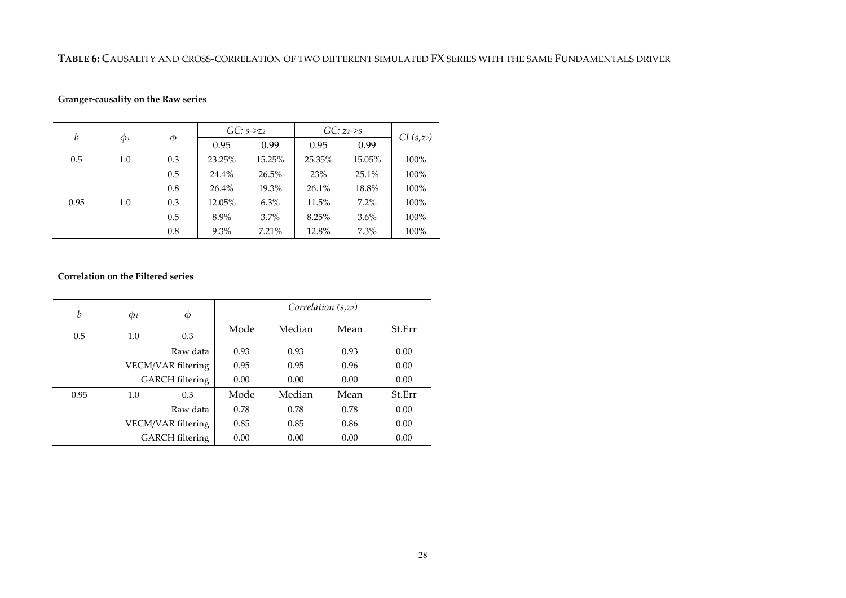#### **TABLE 6:** CAUSALITY AND CROSS-CORRELATION OF TWO DIFFERENT SIMULATED FX SERIES WITH THE SAME FUNDAMENTALS DRIVER

## **Granger-causality on the Raw series**

| b    |                     |     | $GC: s \rightarrow z_2$ |        | $GC: z_2 \rightarrow s$ |         |                       |
|------|---------------------|-----|-------------------------|--------|-------------------------|---------|-----------------------|
|      | $\Phi$ <sub>1</sub> | Ф   | 0.95                    | 0.99   | 0.95                    | 0.99    | CI(s,z <sub>2</sub> ) |
| 0.5  | 1.0                 | 0.3 | 23.25%                  | 15.25% | 25.35%                  | 15.05%  | 100%                  |
|      |                     | 0.5 | 24.4%                   | 26.5%  | 23%                     | 25.1%   | 100%                  |
|      |                     | 0.8 | 26.4%                   | 19.3%  | 26.1%                   | 18.8%   | 100%                  |
| 0.95 | 1.0                 | 0.3 | 12.05%                  | 6.3%   | 11.5%                   | $7.2\%$ | 100%                  |
|      |                     | 0.5 | 8.9%                    | 3.7%   | 8.25%                   | $3.6\%$ | 100%                  |
|      |                     | 0.8 | 9.3%                    | 7.21%  | 12.8%                   | 7.3%    | 100%                  |

## **Correlation on the Filtered series**

| b    |                     |                        |      | Correlation $(s, z_2)$ |      |        |
|------|---------------------|------------------------|------|------------------------|------|--------|
|      | $\Phi$ <sub>1</sub> | φ                      | Mode | Median                 | Mean | St.Err |
| 0.5  | 1.0                 | 0.3                    |      |                        |      |        |
|      |                     | Raw data               | 0.93 | 0.93                   | 0.93 | 0.00   |
|      |                     | VECM/VAR filtering     | 0.95 | 0.95                   | 0.96 | 0.00   |
|      |                     | <b>GARCH</b> filtering | 0.00 | 0.00                   | 0.00 | 0.00   |
| 0.95 | 1.0                 | 0.3                    | Mode | Median                 | Mean | St.Err |
|      |                     | Raw data               | 0.78 | 0.78                   | 0.78 | 0.00   |
|      |                     | VECM/VAR filtering     | 0.85 | 0.85                   | 0.86 | 0.00   |
|      |                     | <b>GARCH</b> filtering | 0.00 | 0.00                   | 0.00 | 0.00   |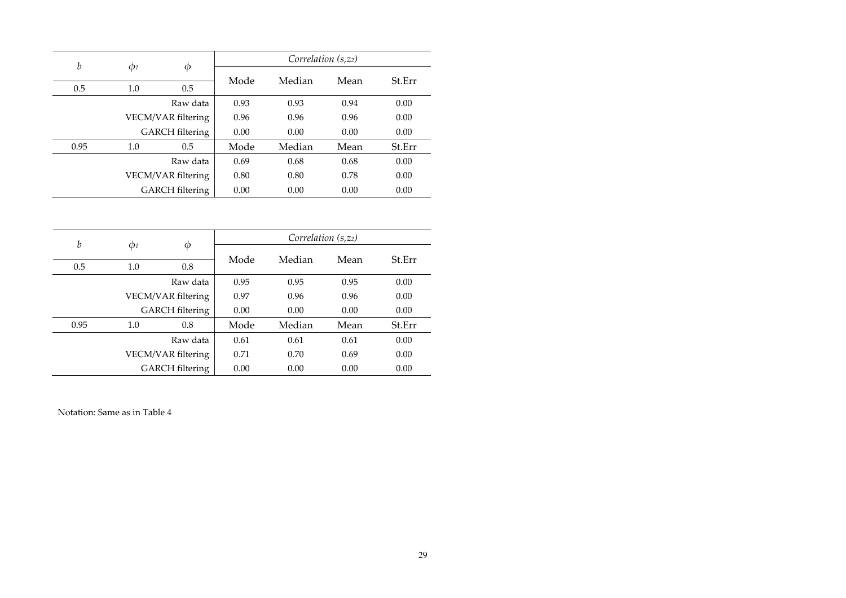| b    |          |                        |      | Correlation $(s, z2)$ |      |        |
|------|----------|------------------------|------|-----------------------|------|--------|
|      | $\Phi$ 1 | Φ                      | Mode | Median                | Mean | St.Err |
| 0.5  | 1.0      | 0.5                    |      |                       |      |        |
|      |          | Raw data               | 0.93 | 0.93                  | 0.94 | 0.00   |
|      |          | VECM/VAR filtering     | 0.96 | 0.96                  | 0.96 | 0.00   |
|      |          | <b>GARCH</b> filtering | 0.00 | 0.00                  | 0.00 | 0.00   |
| 0.95 | 1.0      | 0.5                    | Mode | Median                | Mean | St.Err |
|      |          | Raw data               | 0.69 | 0.68                  | 0.68 | 0.00   |
|      |          | VECM/VAR filtering     | 0.80 | 0.80                  | 0.78 | 0.00   |
|      |          | <b>GARCH</b> filtering | 0.00 | 0.00                  | 0.00 | 0.00   |

| b    |          |                        |      | Correlation $(s, z2)$ |      |        |
|------|----------|------------------------|------|-----------------------|------|--------|
|      | $\phi_1$ | φ                      | Mode | Median                | Mean | St.Err |
| 0.5  | 1.0      | 0.8                    |      |                       |      |        |
|      |          | Raw data               | 0.95 | 0.95                  | 0.95 | 0.00   |
|      |          | VECM/VAR filtering     | 0.97 | 0.96                  | 0.96 | 0.00   |
|      |          | <b>GARCH</b> filtering | 0.00 | 0.00                  | 0.00 | 0.00   |
| 0.95 | 1.0      | 0.8                    | Mode | Median                | Mean | St.Err |
|      |          | Raw data               | 0.61 | 0.61                  | 0.61 | 0.00   |
|      |          | VECM/VAR filtering     | 0.71 | 0.70                  | 0.69 | 0.00   |
|      |          | <b>GARCH</b> filtering | 0.00 | 0.00                  | 0.00 | 0.00   |

Notation: Same as in Table 4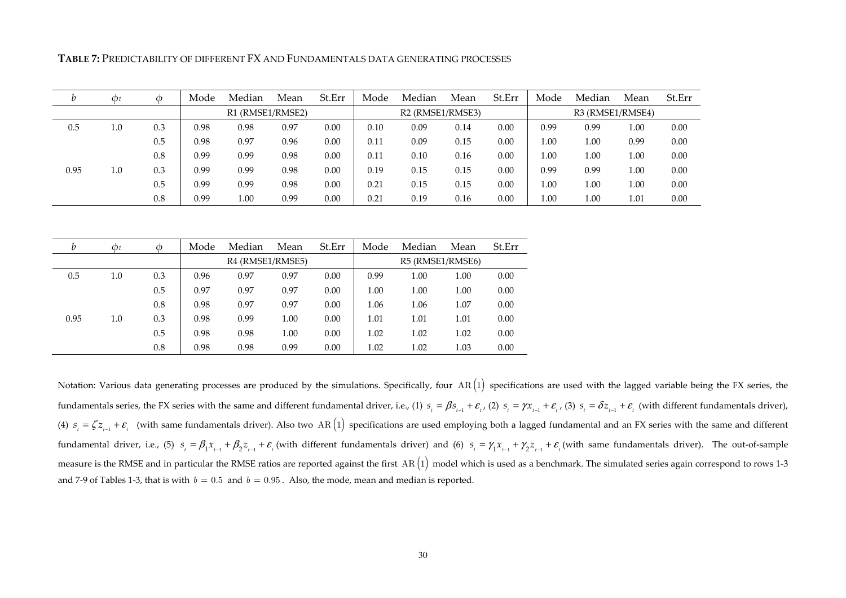**TABLE 7:** PREDICTABILITY OF DIFFERENT FX AND FUNDAMENTALS DATA GENERATING PROCESSES

|      | Ф1  |     | Mode | Median           | Mean | St.Err | Mode | Median                                                 | Mean | St.Err | Mode | Median           | Mean | St.Err |
|------|-----|-----|------|------------------|------|--------|------|--------------------------------------------------------|------|--------|------|------------------|------|--------|
|      |     |     |      | R1 (RMSE1/RMSE2) |      |        |      | R <sub>2</sub> (RMSE <sub>1</sub> /RMSE <sub>3</sub> ) |      |        |      | R3 (RMSE1/RMSE4) |      |        |
| 0.5  | 1.0 | 0.3 | 0.98 | 0.98             | 0.97 | 0.00   | 0.10 | 0.09                                                   | 0.14 | 0.00   | 0.99 | 0.99             | 1.00 | 0.00   |
|      |     | 0.5 | 0.98 | 0.97             | 0.96 | 0.00   | 0.11 | 0.09                                                   | 0.15 | 0.00   | 1.00 | 1.00             | 0.99 | 0.00   |
|      |     | 0.8 | 0.99 | 0.99             | 0.98 | 0.00   | 0.11 | 0.10                                                   | 0.16 | 0.00   | 1.00 | $1.00\,$         | 1.00 | 0.00   |
| 0.95 | 1.0 | 0.3 | 0.99 | 0.99             | 0.98 | 0.00   | 0.19 | 0.15                                                   | 0.15 | 0.00   | 0.99 | 0.99             | 1.00 | 0.00   |
|      |     | 0.5 | 0.99 | 0.99             | 0.98 | 0.00   | 0.21 | 0.15                                                   | 0.15 | 0.00   | 1.00 | 1.00             | 1.00 | 0.00   |
|      |     | 0.8 | 0.99 | 1.00             | 0.99 | 0.00   | 0.21 | 0.19                                                   | 0.16 | 0.00   | 1.00 | 00.1             | 1.01 | 0.00   |

| b    | $\mathcal{O}1$ | $\phi$ | Mode | Median           | Mean | St.Err | Mode | Median           | Mean | St.Err |
|------|----------------|--------|------|------------------|------|--------|------|------------------|------|--------|
|      |                |        |      | R4 (RMSE1/RMSE5) |      |        |      | R5 (RMSE1/RMSE6) |      |        |
| 0.5  | 1.0            | 0.3    | 0.96 | 0.97             | 0.97 | 0.00   | 0.99 | 1.00             | 1.00 | 0.00   |
|      |                | 0.5    | 0.97 | 0.97             | 0.97 | 0.00   | 1.00 | 1.00             | 1.00 | 0.00   |
|      |                | 0.8    | 0.98 | 0.97             | 0.97 | 0.00   | 1.06 | 1.06             | 1.07 | 0.00   |
| 0.95 | 1.0            | 0.3    | 0.98 | 0.99             | 1.00 | 0.00   | 1.01 | 1.01             | 1.01 | 0.00   |
|      |                | 0.5    | 0.98 | 0.98             | 1.00 | 0.00   | 1.02 | 1.02             | 1.02 | 0.00   |
|      |                | 0.8    | 0.98 | 0.98             | 0.99 | 0.00   | 1.02 | 1.02             | 1.03 | 0.00   |

Notation: Various data generating processes are produced by the simulations. Specifically, four  $AR(1)$  specifications are used with the lagged variable being the FX series, the fundamentals series, the FX series with the same and different fundamental driver, i.e., (1)  $s_{i} = \beta s_{i-1} + \varepsilon_{i}$ , (2)  $s_{i} = \gamma x_{i-1} + \varepsilon_{i}$ , (3)  $s_{i} = \delta z_{i-1} + \varepsilon_{i}$  (with different fundamentals driver), (4)  $s_{i} = \zeta z_{i-1} + \varepsilon_{i}$  (with same fundamentals driver). Also two AR(1) specifications are used employing both a lagged fundamental and an FX series with the same and different fundamental driver, i.e., (5)  $s_{_t} = \beta_1 x_{_{t-1}} + \beta_2 z_{_{t-1}} + \varepsilon_{_t}$  (with different fundamentals driver) and (6)  $s_{_t} = \gamma_1 x_{_{t-1}} + \gamma_2 z_{_{t-1}} + \varepsilon_{_t}$  (with same fundamentals driver). The out-of-sample measure is the RMSE and in particular the RMSE ratios are reported against the first  $AR(1)$  model which is used as a benchmark. The simulated series again correspond to rows 1-3 and 7-9 of Tables 1-3, that is with  $b = 0.5$  and  $b = 0.95$ . Also, the mode, mean and median is reported.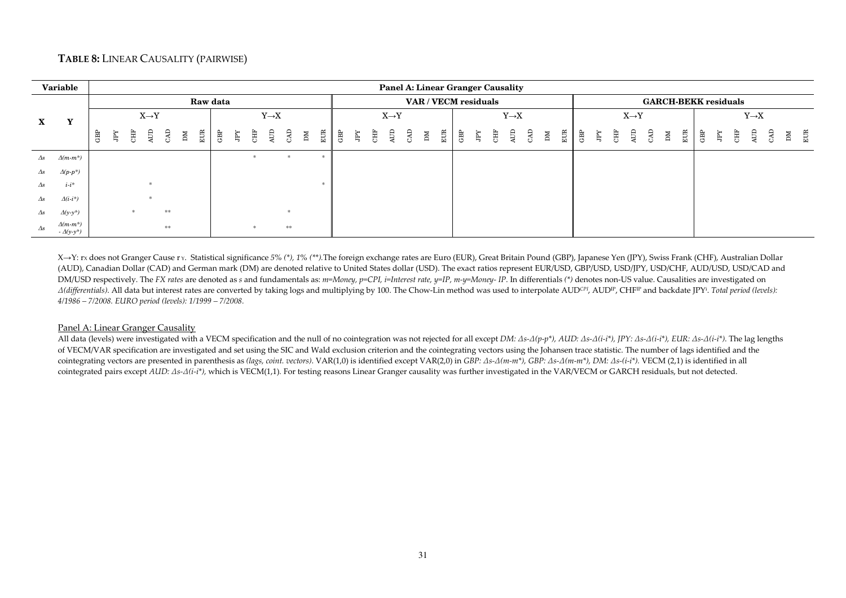## **TABLE 8:** LINEAR CAUSALITY (PAIRWISE)

|               | Variable                            |     |    |   |                   |    |    |          |     |   |   |                   |               |    |     |            |   |   | Panel A: Linear Granger Causality |     |             |                      |    |   |   |                   |     |                 |     |   |   |   |                   |                             |    |     |     |   |   |                   |   |    |
|---------------|-------------------------------------|-----|----|---|-------------------|----|----|----------|-----|---|---|-------------------|---------------|----|-----|------------|---|---|-----------------------------------|-----|-------------|----------------------|----|---|---|-------------------|-----|-----------------|-----|---|---|---|-------------------|-----------------------------|----|-----|-----|---|---|-------------------|---|----|
|               |                                     |     |    |   |                   |    |    | Raw data |     |   |   |                   |               |    |     |            |   |   |                                   |     |             | VAR / VECM residuals |    |   |   |                   |     |                 |     |   |   |   |                   | <b>GARCH-BEKK residuals</b> |    |     |     |   |   |                   |   |    |
| $\mathbf{X}$  | Y                                   |     |    |   | $X \rightarrow Y$ |    |    |          |     |   |   | $Y \rightarrow X$ |               |    |     |            |   |   | $X \rightarrow Y$                 |     |             |                      |    |   |   | $Y \rightarrow X$ |     |                 |     |   |   |   | $X \rightarrow Y$ |                             |    |     |     |   |   | $Y \rightarrow X$ |   |    |
|               |                                     | GBP | Ė, | Ë | Ê                 | £  | ÞМ | EUR      | GВP | Ř | Ë | Ê                 | <b>GAD</b>    | ÞМ | EUR | <b>GBP</b> | Ę | 臣 | Ê                                 | CAD | $\mathbb M$ | EUR                  | GB | Ę | Ë | Æ                 | GAD | $\mathbbmss{M}$ | EUR | 思 | Ę | 患 | Ê                 | GЯ                          | ÞМ | ЕUR | GBP | Ĕ | Ë | Ê                 | Ы | ËЦ |
| $\Delta s$    | $\Delta(m-m^*)$                     |     |    |   |                   |    |    |          |     |   |   |                   | ×.            |    |     |            |   |   |                                   |     |             |                      |    |   |   |                   |     |                 |     |   |   |   |                   |                             |    |     |     |   |   |                   |   |    |
| $\Delta s$    | $\Delta(p\cdot p^*)$                |     |    |   |                   |    |    |          |     |   |   |                   |               |    |     |            |   |   |                                   |     |             |                      |    |   |   |                   |     |                 |     |   |   |   |                   |                             |    |     |     |   |   |                   |   |    |
| $\varDelta s$ | $i-i^*$                             |     |    |   |                   |    |    |          |     |   |   |                   |               |    |     |            |   |   |                                   |     |             |                      |    |   |   |                   |     |                 |     |   |   |   |                   |                             |    |     |     |   |   |                   |   |    |
| $\varDelta s$ | $\Delta(i\cdot i^*)$                |     |    |   |                   |    |    |          |     |   |   |                   |               |    |     |            |   |   |                                   |     |             |                      |    |   |   |                   |     |                 |     |   |   |   |                   |                             |    |     |     |   |   |                   |   |    |
| $\varDelta s$ | $\Delta(y-y^*)$                     |     |    |   |                   | ** |    |          |     |   |   |                   | $\mathcal{R}$ |    |     |            |   |   |                                   |     |             |                      |    |   |   |                   |     |                 |     |   |   |   |                   |                             |    |     |     |   |   |                   |   |    |
| $\Delta s$    | $\Delta(m-m^*)$<br>$-\Delta(y-y^*)$ |     |    |   |                   | ** |    |          |     |   |   |                   | **            |    |     |            |   |   |                                   |     |             |                      |    |   |   |                   |     |                 |     |   |   |   |                   |                             |    |     |     |   |   |                   |   |    |

X→Y: rx does not Granger Cause r y. Statistical significance 5% (\*), 1% (\*\*).The foreign exchange rates are Euro (EUR), Great Britain Pound (GBP), Japanese Yen (JPY), Swiss Frank (CHF), Australian Dollar (AUD), Canadian Dollar (CAD) and German mark (DM) are denoted relative to United States dollar (USD). The exact ratios represent EUR/USD, GBP/USD, USD//CHF, AUD/USD, USD/CAD and DM/USD respectively. The FX rates are denoted as s and fundamentals as: m=Money, p=CPI, i=Interest rate, y=IP, m-y=Money- IP. In differentials (\*) denotes non-US value. Causalities are investigated on A(differentials). All data but interest rates are converted by taking logs and multiplying by 100. The Chow-Lin method was used to interpolate AUDCPI, AUDIP, CHFIP and backdate JPY<sup>i</sup>. Total period (levels): *4/1986 – 7/2008. EURO period (levels): 1/1999 – 7/2008.*

#### Panel A: Linear Granger Causality

 All data (levels) were investigated with a VECM specification and the null of no cointegration was not rejected for all except *DM: Δs-Δ(p-p\*), AUD: Δs-Δ(i-i\*), JPY: Δs-Δ(i-i\*), EUR: Δs-Δ(i-i\*)*. The lag lengths of VECM/VAR specification are investigated and set using the SIC and Wald exclusion criterion and the cointegrating vectors using the Johansen trace statistic. The number of lags identified and the cointegrating vectors are presented in parenthesis as *(lags, coint. vectors)*. VAR(1,0) is identified except VAR(2,0) in *GBP: Δs-Δ(m-m\*), GBP: Δs-Δ(m-m\*), DM: Δs-(i-i\*).* VECM (2,1) is identified in all cointegrated pairs except *AUD: Δs-Δ(i-i\*),* which is VECM(1,1)*.* For testing reasons Linear Granger causality was further investigated in the VAR/VECM or GARCH residuals, but not detected.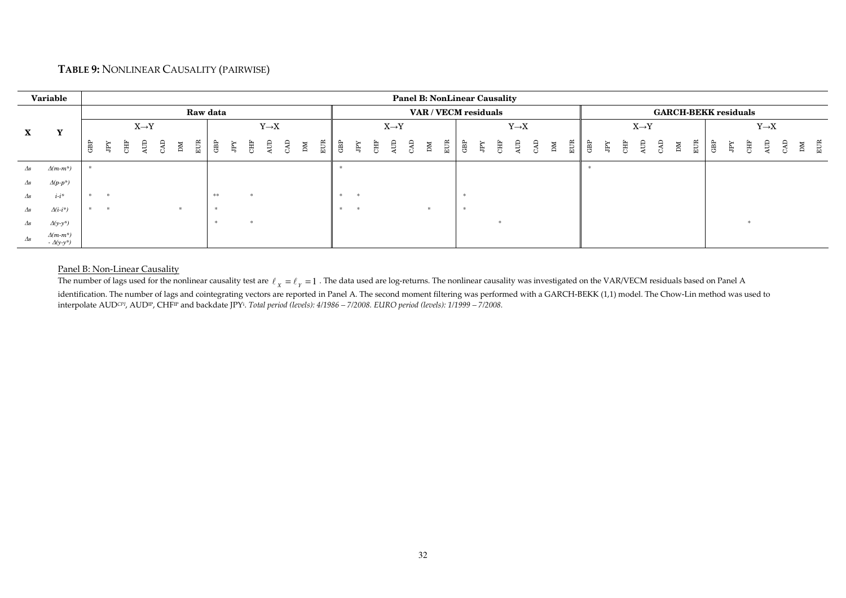## **TABLE 9:** NONLINEAR CAUSALITY (PAIRWISE)

|               | Variable                            |     |   |   |                   |     |             |     |          |    |                   |  |               |        |    |                   |            |             |             |   | <b>Panel B: NonLinear Causality</b> |   |                   |     |    |   |   |     |   |                   |    |             |     |     |                             |   |                   |    |     |
|---------------|-------------------------------------|-----|---|---|-------------------|-----|-------------|-----|----------|----|-------------------|--|---------------|--------|----|-------------------|------------|-------------|-------------|---|-------------------------------------|---|-------------------|-----|----|---|---|-----|---|-------------------|----|-------------|-----|-----|-----------------------------|---|-------------------|----|-----|
|               |                                     |     |   |   |                   |     |             |     | Raw data |    |                   |  |               |        |    |                   |            |             |             |   | VAR / VECM residuals                |   |                   |     |    |   |   |     |   |                   |    |             |     |     | <b>GARCH-BEKK residuals</b> |   |                   |    |     |
| $\mathbf{X}$  | Y                                   |     |   |   | $X \rightarrow Y$ |     |             |     |          |    | $Y \rightarrow X$ |  |               |        |    | $X \rightarrow Y$ |            |             |             |   |                                     |   | $Y \rightarrow X$ |     |    |   |   |     |   | $X \rightarrow Y$ |    |             |     |     |                             |   | $Y \rightarrow X$ |    |     |
|               |                                     | GBP | Ĕ | Ē | Ê                 | GКС | $\mathbb M$ | EUR | GBP      | Χď |                   |  | $E \parallel$ | GBP    | Ę  | <b>CHF</b><br>AUD | <b>LKC</b> | $\mathbb M$ | $rac{1}{E}$ | Ê | Ķď                                  | Ĕ | Æ                 | CAD | ÞМ | E | 贯 | kđr | Ë | 4UD               | ŒС | $\mathbb N$ | EUR | GBP | Ķ                           | 퇁 | £                 | ÞМ | EUR |
| $\varDelta s$ | $\Delta(m-m^*)$                     |     |   |   |                   |     |             |     |          |    |                   |  |               |        |    |                   |            |             |             |   |                                     |   |                   |     |    |   |   |     |   |                   |    |             |     |     |                             |   |                   |    |     |
| $\Delta s$    | $\Delta(p\text{-}p^*)$              |     |   |   |                   |     |             |     |          |    |                   |  |               |        |    |                   |            |             |             |   |                                     |   |                   |     |    |   |   |     |   |                   |    |             |     |     |                             |   |                   |    |     |
| $\varDelta s$ | $i-i^*$                             |     |   |   |                   |     |             |     | **       |    |                   |  |               | $\ast$ |    |                   |            |             |             |   |                                     |   |                   |     |    |   |   |     |   |                   |    |             |     |     |                             |   |                   |    |     |
| $\varDelta s$ | $\Delta(i\cdot i^*)$                |     |   |   |                   |     | ÷.          |     |          |    |                   |  |               | *      | 一宗 |                   |            |             |             |   |                                     |   |                   |     |    |   |   |     |   |                   |    |             |     |     |                             |   |                   |    |     |
| $\varDelta s$ | $\Delta(y-y^*)$                     |     |   |   |                   |     |             |     |          |    |                   |  |               |        |    |                   |            |             |             |   |                                     |   |                   |     |    |   |   |     |   |                   |    |             |     |     |                             |   |                   |    |     |
| $\Delta s$    | $\Delta(m-m^*)$<br>$-\Delta(y-y^*)$ |     |   |   |                   |     |             |     |          |    |                   |  |               |        |    |                   |            |             |             |   |                                     |   |                   |     |    |   |   |     |   |                   |    |             |     |     |                             |   |                   |    |     |

#### Panel B: Non-Linear Causality

The number of lags used for the nonlinear causality test are  $\ell_x = \ell_y = 1$  . The data used are log-returns. The nonlinear causality was investigated on the VAR/VECM residuals based on Panel A identification. The number of lags and cointegrating vectors are reported in Panel A. The second moment filtering was performed with a GARCH-BEKK (1,1) model. The Chow-Lin method was used to interpolate AUD*CPI*, AUDIP, CHFIP and backdate JPY<sup>i</sup>. *Total period (levels): 4/1986 – 7/2008. EURO period (levels): 1/1999 – 7/2008.*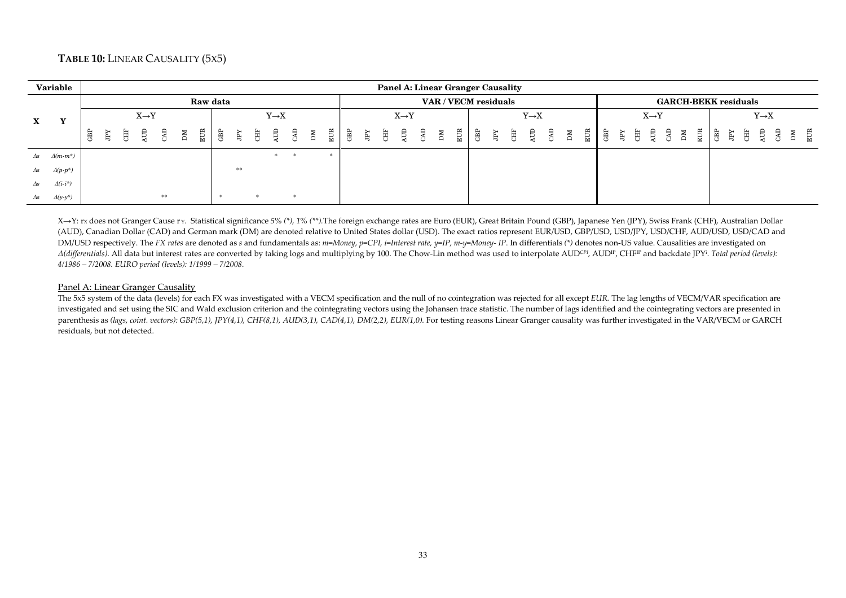## **TABLE 10:** LINEAR CAUSALITY (5X5)

|              | Variable        |   |   |   |                   |    |   |     |          |                    |   |                   |    |     |   |    |     | <b>Panel A: Linear Granger Causality</b> |    |     |      |                      |                   |             |               |                                                                                                                                                                                                                                                                                                                                                                                                                                |  |                   |  |     |                             |           |   |                   |           |  |
|--------------|-----------------|---|---|---|-------------------|----|---|-----|----------|--------------------|---|-------------------|----|-----|---|----|-----|------------------------------------------|----|-----|------|----------------------|-------------------|-------------|---------------|--------------------------------------------------------------------------------------------------------------------------------------------------------------------------------------------------------------------------------------------------------------------------------------------------------------------------------------------------------------------------------------------------------------------------------|--|-------------------|--|-----|-----------------------------|-----------|---|-------------------|-----------|--|
|              |                 |   |   |   |                   |    |   |     | Raw data |                    |   |                   |    |     |   |    |     |                                          |    |     |      | VAR / VECM residuals |                   |             |               |                                                                                                                                                                                                                                                                                                                                                                                                                                |  |                   |  |     | <b>GARCH-BEKK residuals</b> |           |   |                   |           |  |
| $\mathbf{X}$ | $\mathbf{v}$    |   |   |   | $X \rightarrow Y$ |    |   |     |          |                    |   | $Y \rightarrow X$ |    |     |   |    |     | $X \rightarrow Y$                        |    |     |      |                      | $Y \rightarrow X$ |             |               |                                                                                                                                                                                                                                                                                                                                                                                                                                |  | $X \rightarrow Y$ |  |     |                             |           |   | $Y \rightarrow X$ |           |  |
|              |                 | Ê | Ĕ | 臣 | Ê                 | Ê  | M | EUR | 흖        | È                  | Ë | Æ                 | MЦ | EUR | Ê | È. | CHF | AUD                                      | ÞМ | EUR | l ਛੂ | Ę                    |                   | $\mathbb N$ | $\frac{1}{2}$ | $\begin{array}{ccccccccccccc}\n\text{H} & \text{H} & \text{H} & \text{H} & \text{H} & \text{H} & \text{H} & \text{H} & \text{H} & \text{H} & \text{H} & \text{H} & \text{H} & \text{H} & \text{H} & \text{H} & \text{H} & \text{H} & \text{H} & \text{H} & \text{H} & \text{H} & \text{H} & \text{H} & \text{H} & \text{H} & \text{H} & \text{H} & \text{H} & \text{H} & \text{H} & \text{H} & \text{H} & \text{H} & \text{H}$ |  |                   |  | EUR | 「贾                          | <b>FY</b> | Ê | ₿                 | EUR<br>ÌМ |  |
| $\Delta s$   | $\Delta(m-m^*)$ |   |   |   |                   |    |   |     |          |                    |   |                   |    |     |   |    |     |                                          |    |     |      |                      |                   |             |               |                                                                                                                                                                                                                                                                                                                                                                                                                                |  |                   |  |     |                             |           |   |                   |           |  |
| $\Delta s$   | $\Delta(p-p^*)$ |   |   |   |                   |    |   |     |          | $\approx$ $\times$ |   |                   |    |     |   |    |     |                                          |    |     |      |                      |                   |             |               |                                                                                                                                                                                                                                                                                                                                                                                                                                |  |                   |  |     |                             |           |   |                   |           |  |
| $\Delta s$   | $\Delta(i-i^*)$ |   |   |   |                   |    |   |     |          |                    |   |                   |    |     |   |    |     |                                          |    |     |      |                      |                   |             |               |                                                                                                                                                                                                                                                                                                                                                                                                                                |  |                   |  |     |                             |           |   |                   |           |  |
| $\Delta s$   | $\Delta(y-y^*)$ |   |   |   |                   | ** |   |     |          |                    |   |                   |    |     |   |    |     |                                          |    |     |      |                      |                   |             |               |                                                                                                                                                                                                                                                                                                                                                                                                                                |  |                   |  |     |                             |           |   |                   |           |  |

X→Y: rx does not Granger Cause r y. Statistical significance 5% (\*), 1% (\*\*). The foreign exchange rates are Euro (EUR), Great Britain Pound (GBP), Japanese Yen (JPY), Swiss Frank (CHF), Australian Dollar (AUD), Canadian Dollar (CAD) and German mark (DM) are denoted relative to United States dollar (USD). The exact ratios represent EUR/USD, GBP/USD, USD/JPY, USD/CHF, AUD/USD, USD/CAD and DM/USD respectively. The FX rates are denoted as s and fundamentals as: m=Money, p=CPI, i=Interest rate, y=IP, m-y=Money- IP. In differentials (\*) denotes non-US value. Causalities are investigated on A(differentials). All data but interest rates are converted by taking logs and multiplying by 100. The Chow-Lin method was used to interpolate AUDCPI, AUDIP, CHFIP and backdate JPYi. Total period (levels): *4/1986 – 7/2008. EURO period (levels): 1/1999 – 7/2008.*

#### Panel A: Linear Granger Causality

 The 5x5 system of the data (levels) for each FX was investigated with a VECM specification and the null of no cointegration was rejected for all except *EUR.* The lag lengths of VECM/VAR specification are investigated and set using the SIC and Wald exclusion criterion and the cointegrating vectors using the Johansen trace statistic. The number of lags identified and the cointegrating vectors are presented in parenthesis as *(lags, coint. vectors): GBP(5,1), JPY(4,1), CHF(8,1), AUD(3,1), CAD(4,1), DM(2,2), EUR(1,0).* For testing reasons Linear Granger causality was further investigated in the VAR/VECM or GARCH residuals, but not detected.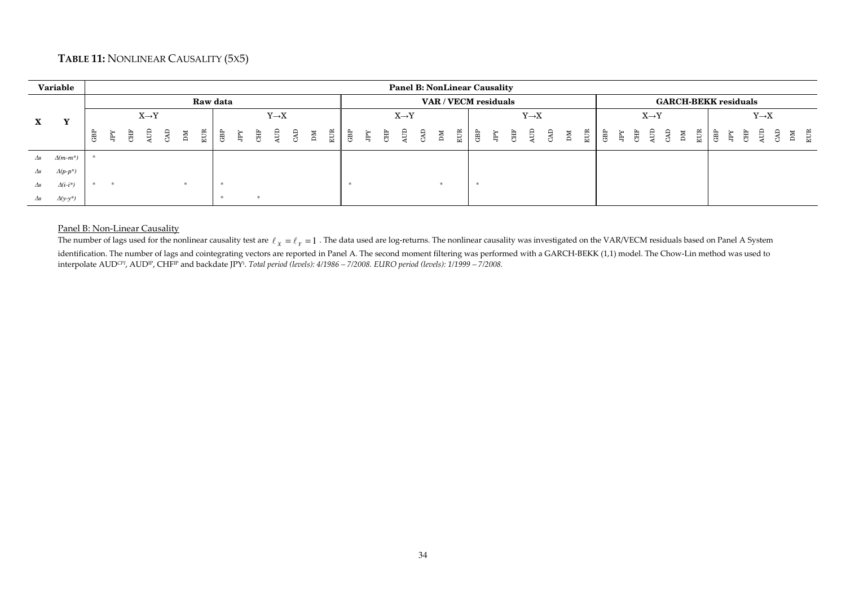## **TABLE 11:** NONLINEAR CAUSALITY (5X5)

|               | Variable               |                   |   |   |   |   |    |     |          |   |   |                   |     |   |     |                 |   |   | <b>Panel B: NonLinear Causality</b> |    |                      |               |    |  |                       |    |                             |     |                   |                             |              |   |     |             |   |                   |          |
|---------------|------------------------|-------------------|---|---|---|---|----|-----|----------|---|---|-------------------|-----|---|-----|-----------------|---|---|-------------------------------------|----|----------------------|---------------|----|--|-----------------------|----|-----------------------------|-----|-------------------|-----------------------------|--------------|---|-----|-------------|---|-------------------|----------|
|               |                        |                   |   |   |   |   |    |     | Raw data |   |   |                   |     |   |     |                 |   |   |                                     |    | VAR / VECM residuals |               |    |  |                       |    |                             |     |                   | <b>GARCH-BEKK residuals</b> |              |   |     |             |   |                   |          |
| $\mathbf{X}$  | Y                      | $X \rightarrow Y$ |   |   |   |   |    |     |          |   |   | $Y \rightarrow X$ |     |   |     |                 |   |   | $X \rightarrow Y$                   |    |                      |               |    |  | $Y \rightarrow X$     |    |                             |     | $X \rightarrow Y$ |                             |              |   |     |             |   | $Y \rightarrow X$ |          |
|               |                        | GВP               | Ĕ | 貫 | Ê | Œ | ÞМ | EUR | GBP      | Ę | 闺 | Ê                 | СAD | M | EUR | GB <sub>I</sub> | Ę | 闺 | ₿.                                  | ŒС | M                    | $\frac{1}{2}$ | ළි |  | B<br>西<br>巴<br>巴<br>B | ÞМ | $\frac{1}{2}$ $\frac{1}{2}$ | 高、唐 | ੜ੍ਹਿ ਲ            |                             | $\mathbb{M}$ | E | GBP | $\tilde{E}$ | 島 | Ê                 | EUR<br>М |
| $\Delta s$    | $\Delta(m-m^*)$        |                   |   |   |   |   |    |     |          |   |   |                   |     |   |     |                 |   |   |                                     |    |                      |               |    |  |                       |    |                             |     |                   |                             |              |   |     |             |   |                   |          |
| $\Delta s$    | $\Delta(p\text{-}p^*)$ |                   |   |   |   |   |    |     |          |   |   |                   |     |   |     |                 |   |   |                                     |    |                      |               |    |  |                       |    |                             |     |                   |                             |              |   |     |             |   |                   |          |
| $\varDelta s$ | $\Delta(i\cdot i^*)$   |                   |   |   |   |   |    |     |          |   |   |                   |     |   |     |                 |   |   |                                     |    |                      |               |    |  |                       |    |                             |     |                   |                             |              |   |     |             |   |                   |          |
| Δs            | $\Delta(y-y^*)$        |                   |   |   |   |   |    |     |          |   |   |                   |     |   |     |                 |   |   |                                     |    |                      |               |    |  |                       |    |                             |     |                   |                             |              |   |     |             |   |                   |          |

#### Panel B: Non-Linear Causality

The number of lags used for the nonlinear causality test are  $\ell_{\chi}=\ell_{\gamma}=1$  . The data used are log-returns. The nonlinear causality was investigated on the VAR/VECM residuals based on Panel A System identification. The number of lags and cointegrating vectors are reported in Panel A. The second moment filtering was performed with a GARCH-BEKK (1,1) model. The Chow-Lin method was used to interpolate AUD*CPI*, AUDIP, CHFIP and backdate JPY<sup>i</sup>. *Total period (levels): 4/1986 – 7/2008. EURO period (levels): 1/1999 – 7/2008.*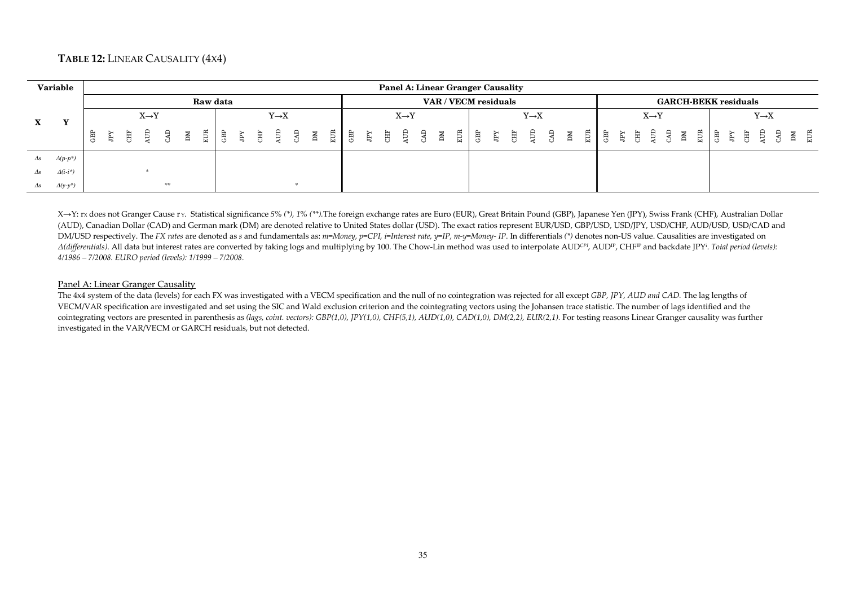## **TABLE 12:** LINEAR CAUSALITY (4X4)

|               | <b>Variable</b>      |   |   |   |                   |    |    |          |  |                   |  |  |  |                   |  |  | Panel A: Linear Granger Causality |                   |  |  |  |                   |  |  |                             |                   |           |
|---------------|----------------------|---|---|---|-------------------|----|----|----------|--|-------------------|--|--|--|-------------------|--|--|-----------------------------------|-------------------|--|--|--|-------------------|--|--|-----------------------------|-------------------|-----------|
|               |                      |   |   |   |                   |    |    | Raw data |  |                   |  |  |  |                   |  |  | VAR / VECM residuals              |                   |  |  |  |                   |  |  | <b>GARCH-BEKK residuals</b> |                   |           |
| X             |                      |   |   |   | $X \rightarrow Y$ |    |    |          |  | $Y \rightarrow X$ |  |  |  | $X \rightarrow Y$ |  |  |                                   | $Y \rightarrow X$ |  |  |  | $X \rightarrow Y$ |  |  |                             | $Y \rightarrow X$ |           |
|               |                      | Ê | Ě | 負 | Ê                 | Œ  | ÞМ |          |  |                   |  |  |  |                   |  |  |                                   |                   |  |  |  |                   |  |  |                             |                   | DM<br>EUR |
| $\varDelta s$ | $\Delta(p-p^*)$      |   |   |   |                   |    |    |          |  |                   |  |  |  |                   |  |  |                                   |                   |  |  |  |                   |  |  |                             |                   |           |
| $\Delta s$    | $\Delta(i\cdot i^*)$ |   |   |   |                   |    |    |          |  |                   |  |  |  |                   |  |  |                                   |                   |  |  |  |                   |  |  |                             |                   |           |
| $\Delta s$    | $\Delta(y-y^*)$      |   |   |   |                   | ** |    |          |  |                   |  |  |  |                   |  |  |                                   |                   |  |  |  |                   |  |  |                             |                   |           |

X→Y: rx does not Granger Cause r y. Statistical significance 5% (\*), 1% (\*\*).The foreign exchange rates are Euro (EUR), Great Britain Pound (GBP), Japanese Yen (JPY), Swiss Frank (CHF), Australian Dollar (AUD), Canadian Dollar (CAD) and German mark (DM) are denoted relative to United States dollar (USD). The exact ratios represent EUR/USD, GBP/USD, USD/JPY, USD/CHF, AUD/USD, USD/CAD and DM/USD respectively. The FX rates are denoted as s and fundamentals as: m=Money, p=CPI, i=Interest rate, y=IP, m-y=Money- IP. In differentials (\*) denotes non-US value. Causalities are investigated on A(differentials). All data but interest rates are converted by taking logs and multiplying by 100. The Chow-Lin method was used to interpolate AUDCPI, AUDIP, CHFIP and backdate [PY<sup>i</sup>. Total period (levels): *4/1986 – 7/2008. EURO period (levels): 1/1999 – 7/2008.*

#### Panel A: Linear Granger Causality

 The 4x4 system of the data (levels) for each FX was investigated with a VECM specification and the null of no cointegration was rejected for all except *GBP, JPY, AUD and CAD.* The lag lengths of VECM/VAR specification are investigated and set using the SIC and Wald exclusion criterion and the cointegrating vectors using the Johansen trace statistic. The number of lags identified and the cointegrating vectors are presented in parenthesis as *(lags, coint. vectors): GBP(1,0), JPY(1,0), CHF(5,1), AUD(1,0), CAD(1,0), DM(2,2), EUR(2,1).* For testing reasons Linear Granger causality was further investigated in the VAR/VECM or GARCH residuals, but not detected.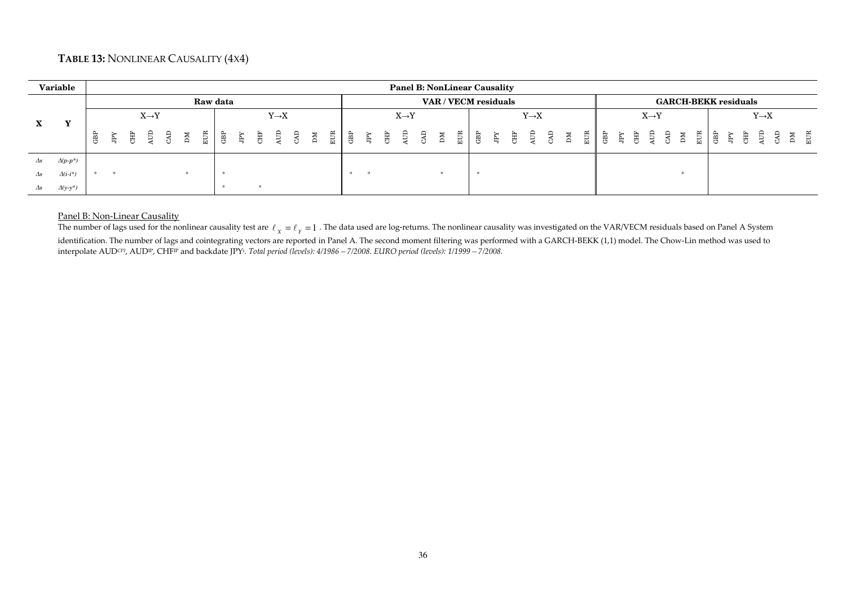## **TABLE 13:** NONLINEAR CAUSALITY (4X4)

|            | <b>Variable</b>             |   |   |                                                                                                                 |    |   |          |  |                   |  |  |  |                   |  |  | <b>Panel B: NonLinear Causality</b> |                   |  |                                 |  |        |                   |             |    |   |     |                             |   |                   |  |  |
|------------|-----------------------------|---|---|-----------------------------------------------------------------------------------------------------------------|----|---|----------|--|-------------------|--|--|--|-------------------|--|--|-------------------------------------|-------------------|--|---------------------------------|--|--------|-------------------|-------------|----|---|-----|-----------------------------|---|-------------------|--|--|
|            |                             |   |   |                                                                                                                 |    |   | Raw data |  |                   |  |  |  |                   |  |  | VAR / VECM residuals                |                   |  |                                 |  |        |                   |             |    |   |     | <b>GARCH-BEKK residuals</b> |   |                   |  |  |
|            |                             |   |   | $X \rightarrow Y$                                                                                               |    |   |          |  | $Y \rightarrow X$ |  |  |  | $X \rightarrow Y$ |  |  |                                     | $Y \rightarrow X$ |  |                                 |  |        | $X \rightarrow Y$ |             |    |   |     |                             |   | $Y \rightarrow X$ |  |  |
| X.         |                             | 哥 | Ĕ | $\begin{array}{ccc}\n\mathbb{H} & \mathbb{B} & \mathbb{B} \\ \mathbb{H} & \mathbb{B} & \mathbb{B}\n\end{array}$ | МC | E |          |  |                   |  |  |  |                   |  |  |                                     |                   |  | $\frac{M}{E}$ and $\frac{M}{E}$ |  | ੇ ਸ਼ਿੰ |                   | E<br>E<br>E | ÞМ | E | GBP | Ę                           | 臣 |                   |  |  |
| $\Delta s$ | $\varDelta(p\!\cdot\! p^*)$ |   |   |                                                                                                                 |    |   |          |  |                   |  |  |  |                   |  |  |                                     |                   |  |                                 |  |        |                   |             |    |   |     |                             |   |                   |  |  |
| $\Delta s$ | $\Delta(i-i^*)$             |   |   |                                                                                                                 |    |   |          |  |                   |  |  |  |                   |  |  |                                     |                   |  |                                 |  |        |                   |             |    |   |     |                             |   |                   |  |  |
| $\Delta s$ | $\Delta(y-y^*)$             |   |   |                                                                                                                 |    |   |          |  |                   |  |  |  |                   |  |  |                                     |                   |  |                                 |  |        |                   |             |    |   |     |                             |   |                   |  |  |

## Panel B: Non-Linear Causality

The number of lags used for the nonlinear causality test are  $\ell_{\chi}=\ell_{\gamma}=1$  . The data used are log-returns. The nonlinear causality was investigated on the VAR/VECM residuals based on Panel A System identification. The number of lags and cointegrating vectors are reported in Panel A. The second moment filtering was performed with a GARCH-BEKK (1,1) model. The Chow-Lin method was used to interpolate AUD*CPI*, AUDIP, CHFIP and backdate JPY<sup>i</sup>. *Total period (levels): 4/1986 – 7/2008. EURO period (levels): 1/1999 – 7/2008.*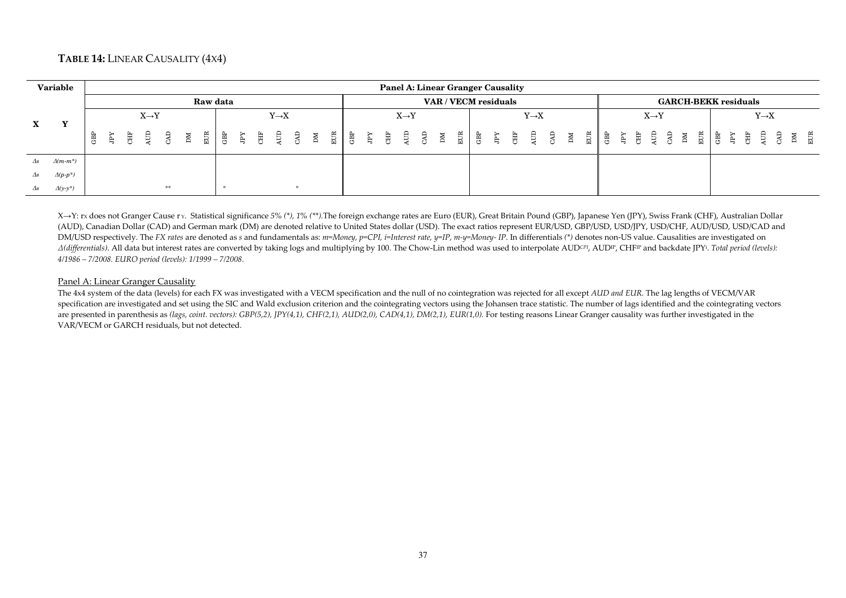## **TABLE 14:** LINEAR CAUSALITY (4X4)

|               | Variable                |   |  |                   |    |             |          |  |                   |  |  | <b>Panel A: Linear Granger Causality</b> |                   |  |                      |  |                   |  |  |  |                   |  |  |                             |                   |  |
|---------------|-------------------------|---|--|-------------------|----|-------------|----------|--|-------------------|--|--|------------------------------------------|-------------------|--|----------------------|--|-------------------|--|--|--|-------------------|--|--|-----------------------------|-------------------|--|
|               |                         |   |  |                   |    |             | Raw data |  |                   |  |  |                                          |                   |  | VAR / VECM residuals |  |                   |  |  |  |                   |  |  | <b>GARCH-BEKK residuals</b> |                   |  |
|               | $\overline{\mathbf{x}}$ |   |  | $X \rightarrow Y$ |    |             |          |  | $Y \rightarrow X$ |  |  |                                          | $X \rightarrow Y$ |  |                      |  | $Y \rightarrow X$ |  |  |  | $X \rightarrow Y$ |  |  |                             | $Y \rightarrow X$ |  |
| $\mathbf{X}$  |                         | Ê |  |                   |    | $\mathbb N$ |          |  |                   |  |  |                                          |                   |  |                      |  |                   |  |  |  |                   |  |  |                             |                   |  |
| $\Delta s$    | $\Delta(m-m^*)$         |   |  |                   |    |             |          |  |                   |  |  |                                          |                   |  |                      |  |                   |  |  |  |                   |  |  |                             |                   |  |
| $\varDelta s$ | $\Delta(p-p^*)$         |   |  |                   |    |             |          |  |                   |  |  |                                          |                   |  |                      |  |                   |  |  |  |                   |  |  |                             |                   |  |
| $\Delta s$    | $\Delta(y-y^*)$         |   |  |                   | ** |             |          |  |                   |  |  |                                          |                   |  |                      |  |                   |  |  |  |                   |  |  |                             |                   |  |

X→Y: rx does not Granger Cause r y. Statistical significance 5% (\*), 1% (\*\*).The foreign exchange rates are Euro (EUR), Great Britain Pound (GBP), Japanese Yen (JPY), Swiss Frank (CHF), Australian Dollar (AUD), Canadian Dollar (CAD) and German mark (DM) are denoted relative to United States dollar (USD). The exact ratios represent EUR/USD, GBP/USD, USD/JPY, USD/CHF, AUD/USD, USD/CAD and DM/USD respectively. The FX rates are denoted as s and fundamentals as: m=Money, p=CPI, i=Interest rate, y=IP, m-y=Money- IP. In differentials (\*) denotes non-US value. Causalities are investigated on A(differentials). All data but interest rates are converted by taking logs and multiplying by 100. The Chow-Lin method was used to interpolate AUDCPI, AUDIP, CHFIP and backdate JPY<sup>i</sup>. Total period (levels): *4/1986 – 7/2008. EURO period (levels): 1/1999 – 7/2008.*

#### Panel A: Linear Granger Causality

 The 4x4 system of the data (levels) for each FX was investigated with a VECM specification and the null of no cointegration was rejected for all except *AUD and EUR.* The lag lengths of VECM/VAR specification are investigated and set using the SIC and Wald exclusion criterion and the cointegrating vectors using the Johansen trace statistic. The number of lags identified and the cointegrating vectors are presented in parenthesis as *(lags, coint. vectors): GBP(5,2), JPY(4,1), CHF(2,1), AUD(2,0), CAD(4,1), DM(2,1), EUR(1,0)*. For testing reasons Linear Granger causality was further investigated in the VAR/VECM or GARCH residuals, but not detected.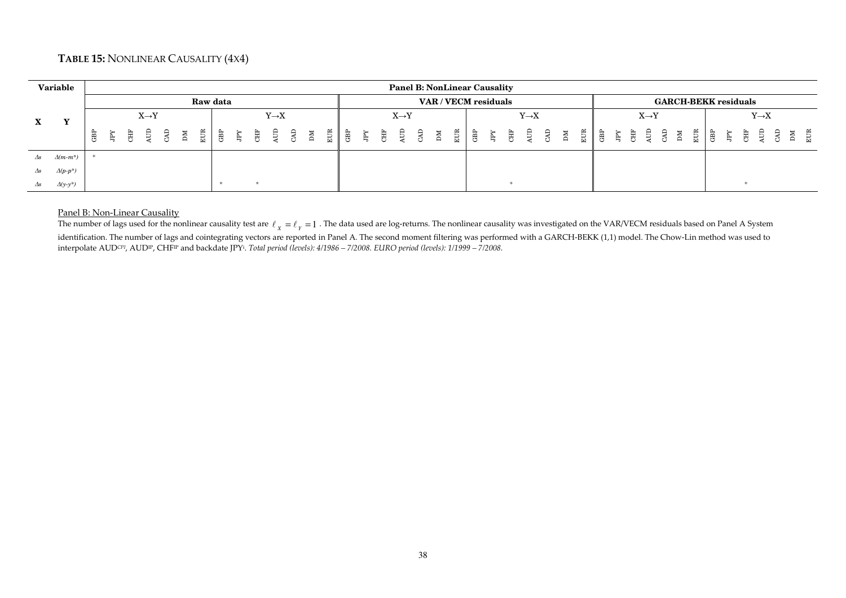## **TABLE 15:** NONLINEAR CAUSALITY (4X4)

|             | Variable                |   |   |   |                   |    |                |     |    |   |                   |    |    |     |   |   |   |                   |    |    | <b>Panel B: NonLinear Causality</b> |     |   |   |                   |            |   |     |     |   |   |                   |          |                             |     |   |   |   |                   |              |
|-------------|-------------------------|---|---|---|-------------------|----|----------------|-----|----|---|-------------------|----|----|-----|---|---|---|-------------------|----|----|-------------------------------------|-----|---|---|-------------------|------------|---|-----|-----|---|---|-------------------|----------|-----------------------------|-----|---|---|---|-------------------|--------------|
|             |                         |   |   |   |                   |    | Raw data       |     |    |   |                   |    |    |     |   |   |   |                   |    |    | VAR / VECM residuals                |     |   |   |                   |            |   |     |     |   |   |                   |          | <b>GARCH-BEKK residuals</b> |     |   |   |   |                   |              |
| $\mathbf X$ | $\overline{\mathbf{x}}$ |   |   |   | $X \rightarrow Y$ |    |                |     |    |   | $Y \rightarrow X$ |    |    |     |   |   |   | $X \rightarrow Y$ |    |    |                                     |     |   |   | $Y \rightarrow X$ |            |   |     |     |   |   | $X \rightarrow Y$ |          |                             |     |   |   |   | $Y \rightarrow X$ |              |
|             |                         | Ë | Ř | 負 | A                 | ÞМ | $\approx$<br>묘 | GBP | È. | 則 | Ê                 | Œ. | NЦ | EUR | Ē | 鳥 | 闺 | Ê                 | GЯ | NЦ | EUR                                 | GBP | 島 | 闺 | Ê                 | <b>GAD</b> | M | EUR | GBP | Ę | 电 | L,                | Э<br>r S | $\geq$                      | EUR | Ê | Ę | 舅 |                   | $E$ UR<br>ЫM |
| Δs          | $\Delta(m-m^*)$         |   |   |   |                   |    |                |     |    |   |                   |    |    |     |   |   |   |                   |    |    |                                     |     |   |   |                   |            |   |     |     |   |   |                   |          |                             |     |   |   |   |                   |              |
| $\Delta s$  | $\Delta(p-p^*)$         |   |   |   |                   |    |                |     |    |   |                   |    |    |     |   |   |   |                   |    |    |                                     |     |   |   |                   |            |   |     |     |   |   |                   |          |                             |     |   |   |   |                   |              |
| Δs          | $\Delta(y-y^*)$         |   |   |   |                   |    |                |     |    |   |                   |    |    |     |   |   |   |                   |    |    |                                     |     |   |   |                   |            |   |     |     |   |   |                   |          |                             |     |   |   |   |                   |              |

#### Panel B: Non-Linear Causality

The number of lags used for the nonlinear causality test are  $\ell_{\chi}=\ell_{\gamma}=1$  . The data used are log-returns. The nonlinear causality was investigated on the VAR/VECM residuals based on Panel A System identification. The number of lags and cointegrating vectors are reported in Panel A. The second moment filtering was performed with a GARCH-BEKK (1,1) model. The Chow-Lin method was used to interpolate AUD*CPI*, AUDIP, CHFIP and backdate JPY<sup>i</sup>. *Total period (levels): 4/1986 – 7/2008. EURO period (levels): 1/1999 – 7/2008.*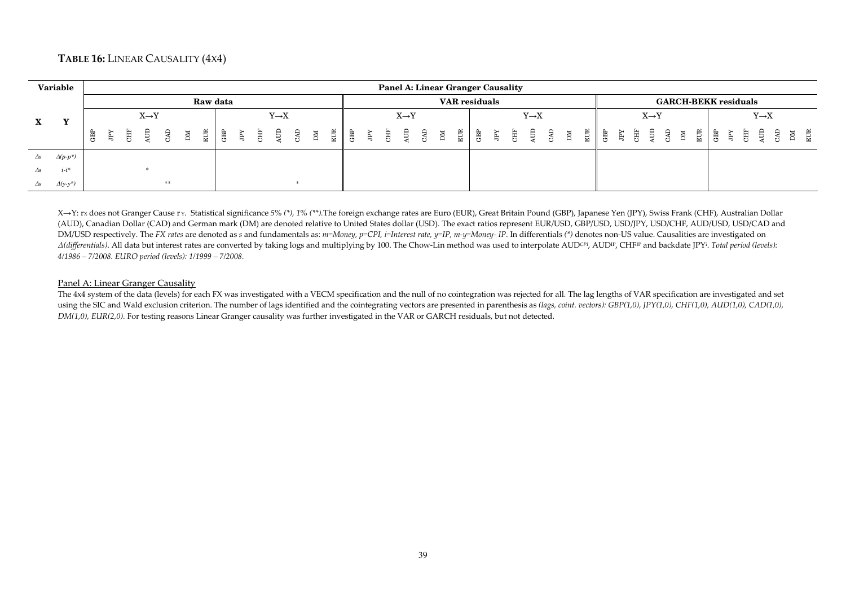## **TABLE 16:** LINEAR CAUSALITY (4X4)

|            | Variable                        |     |   |   |                   |    |    |          |  |                   |  |  |  |                   | Panel A: Linear Granger Causality |                      |  |                   |  |                                                                                                                          |  |                   |  |                             |     |   |            |                   |           |
|------------|---------------------------------|-----|---|---|-------------------|----|----|----------|--|-------------------|--|--|--|-------------------|-----------------------------------|----------------------|--|-------------------|--|--------------------------------------------------------------------------------------------------------------------------|--|-------------------|--|-----------------------------|-----|---|------------|-------------------|-----------|
|            |                                 |     |   |   |                   |    |    | Raw data |  |                   |  |  |  |                   |                                   | <b>VAR</b> residuals |  |                   |  |                                                                                                                          |  |                   |  | <b>GARCH-BEKK residuals</b> |     |   |            |                   |           |
| X          |                                 |     |   |   | $X \rightarrow Y$ |    |    |          |  | $Y \rightarrow X$ |  |  |  | $X \rightarrow Y$ |                                   |                      |  | $Y \rightarrow X$ |  |                                                                                                                          |  | $X \rightarrow Y$ |  |                             |     |   |            | $Y \rightarrow X$ |           |
|            |                                 | GBP | 鳥 | 舅 |                   |    | ÞМ |          |  |                   |  |  |  |                   |                                   |                      |  |                   |  | $\begin{array}{c cccc}\n\hline\n\text{E} & \text{B} & \text{E} & \text{E} & \text{E} & \text{E} & \text{E}\n\end{array}$ |  |                   |  | $\mathbb{E}$ .              | GBP | Ę | きっこう けいしょう |                   | DM<br>EUR |
| $\Delta s$ | $\varDelta(p\text{-}p\text{*})$ |     |   |   |                   |    |    |          |  |                   |  |  |  |                   |                                   |                      |  |                   |  |                                                                                                                          |  |                   |  |                             |     |   |            |                   |           |
| $\Delta s$ | $i-i^*$                         |     |   |   |                   |    |    |          |  |                   |  |  |  |                   |                                   |                      |  |                   |  |                                                                                                                          |  |                   |  |                             |     |   |            |                   |           |
| $\Delta s$ | $\Delta(y-y^*)$                 |     |   |   |                   | ** |    |          |  |                   |  |  |  |                   |                                   |                      |  |                   |  |                                                                                                                          |  |                   |  |                             |     |   |            |                   |           |

X→Y: rx does not Granger Cause r y. Statistical significance 5% (\*), 1% (\*\*).The foreign exchange rates are Euro (EUR), Great Britain Pound (GBP), Japanese Yen (JPY), Swiss Frank (CHF), Australian Dollar (AUD), Canadian Dollar (CAD) and German mark (DM) are denoted relative to United States dollar (USD). The exact ratios represent EUR/USD, GBP/USD, USD/JPY, USD/CHF, AUD/USD, USD/CAD and DM/USD respectively. The FX rates are denoted as s and fundamentals as: m=Money, p=CPI, i=Interest rate, y=IP, m-y=Money- IP. In differentials (\*) denotes non-US value. Causalities are investigated on A(differentials). All data but interest rates are converted by taking logs and multiplying by 100. The Chow-Lin method was used to interpolate AUDCPI, AUDIP, CHFIP and backdate JPY<sup>i</sup>. Total period (levels): *4/1986 – 7/2008. EURO period (levels): 1/1999 – 7/2008.*

#### Panel A: Linear Granger Causality

 The 4x4 system of the data (levels) for each FX was investigated with a VECM specification and the null of no cointegration was rejected for all*.* The lag lengths of VAR specification are investigated and set using the SIC and Wald exclusion criterion. The number of lags identified and the cointegrating vectors are presented in parenthesis as *(lags, coint. vectors): GBP(1,0), JPY(1,0), CHF(1,0), AUD(1,0), CAD(1,0), DM(1,0), EUR(2,0).* For testing reasons Linear Granger causality was further investigated in the VAR or GARCH residuals, but not detected.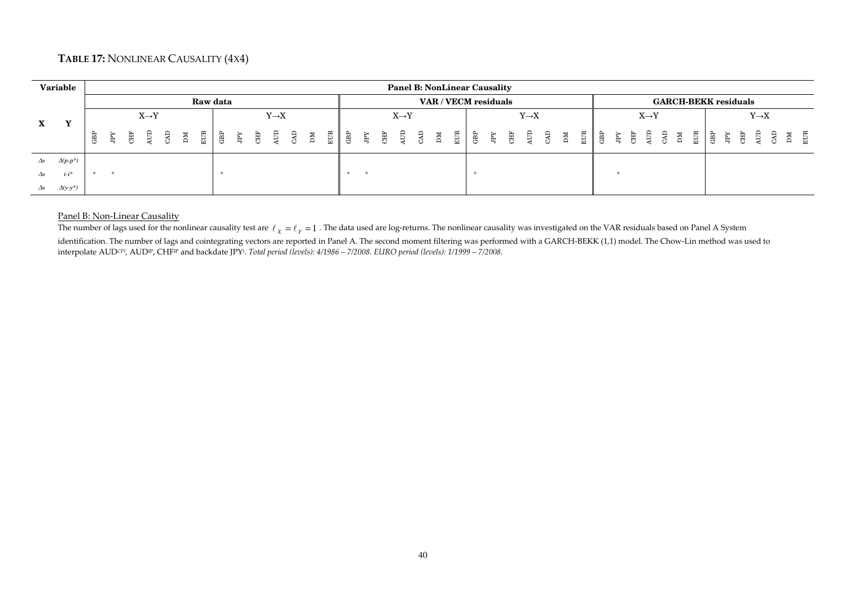## **TABLE 17:** NONLINEAR CAUSALITY (4X4)

|            | Variable               |    |   |   |                   |        |                |             |      |  |                   |             |   |      |  |                                                                                                                                                                                                                                                                                                                                              |             | <b>Panel B: NonLinear Causality</b> |     |                          |                   |  |               |      |  |                   |                             |               |            |                                                                                              |                   |         |
|------------|------------------------|----|---|---|-------------------|--------|----------------|-------------|------|--|-------------------|-------------|---|------|--|----------------------------------------------------------------------------------------------------------------------------------------------------------------------------------------------------------------------------------------------------------------------------------------------------------------------------------------------|-------------|-------------------------------------|-----|--------------------------|-------------------|--|---------------|------|--|-------------------|-----------------------------|---------------|------------|----------------------------------------------------------------------------------------------|-------------------|---------|
|            |                        |    |   |   |                   |        |                | Raw data    |      |  |                   |             |   |      |  |                                                                                                                                                                                                                                                                                                                                              |             | VAR / VECM residuals                |     |                          |                   |  |               |      |  |                   | <b>GARCH-BEKK residuals</b> |               |            |                                                                                              |                   |         |
|            | $\mathbf{v}$           |    |   |   | $X \rightarrow Y$ |        |                |             |      |  | $Y \rightarrow X$ |             |   |      |  | $X \rightarrow Y$                                                                                                                                                                                                                                                                                                                            |             |                                     |     |                          | $Y \rightarrow X$ |  |               |      |  | $X \rightarrow Y$ |                             |               |            |                                                                                              | $Y \rightarrow X$ |         |
| X          |                        | සි | Ã | 員 | È.                | ्<br>स | $\mathbb{R}^n$ | $rac{1}{2}$ | ! ag |  |                   | $\mathbb N$ | 臣 | ∣ ਛੇ |  | de<br>Series<br>Series<br>Series<br>Series<br>Series<br>Series<br>Series<br>Series<br>Series<br>Series<br>Series<br>Series<br>Series<br>Series<br>Series<br>Series<br>Series<br>Series<br>Series<br>Series<br>Series<br>Series<br>Series<br>Series<br>Series<br>Series<br>Inte<br>Series<br>Inte<br><br>Inte<br><br>Inte<br><br><br><br><br> | $\mathbb N$ | $E$ CR                              | cBP | CHE<br>CHE<br>CHE<br>CAD |                   |  | $\frac{M}{E}$ | । ਛੁ |  |                   |                             | $\frac{1}{2}$ | មិ ដុំ<br> | de estados<br>En Estados de Salvaria do Salvaria en 1980.<br>En Estados de Salvaria en 1980. |                   | 区<br>日本 |
| $\Delta s$ | $\Delta(p\text{-}p^*)$ |    |   |   |                   |        |                |             |      |  |                   |             |   |      |  |                                                                                                                                                                                                                                                                                                                                              |             |                                     |     |                          |                   |  |               |      |  |                   |                             |               |            |                                                                                              |                   |         |
| $\Delta s$ | $i-i^*$                |    |   |   |                   |        |                |             |      |  |                   |             |   |      |  |                                                                                                                                                                                                                                                                                                                                              |             |                                     |     |                          |                   |  |               |      |  |                   |                             |               |            |                                                                                              |                   |         |
| $\Delta s$ | $\Delta(y-y^*)$        |    |   |   |                   |        |                |             |      |  |                   |             |   |      |  |                                                                                                                                                                                                                                                                                                                                              |             |                                     |     |                          |                   |  |               |      |  |                   |                             |               |            |                                                                                              |                   |         |

## Panel B: Non-Linear Causality

The number of lags used for the nonlinear causality test are  $\ell_{\chi} = \ell_{\gamma} = 1$  . The data used are log-returns. The nonlinear causality was investigated on the VAR residuals based on Panel A System

identification. The number of lags and cointegrating vectors are reported in Panel A. The second moment filtering was performed with a GARCH-BEKK (1,1) model. The Chow-Lin method was used to interpolate AUD*CPI*, AUDIP, CHFIP and backdate JPY<sup>i</sup>. *Total period (levels): 4/1986 – 7/2008. EURO period (levels): 1/1999 – 7/2008.*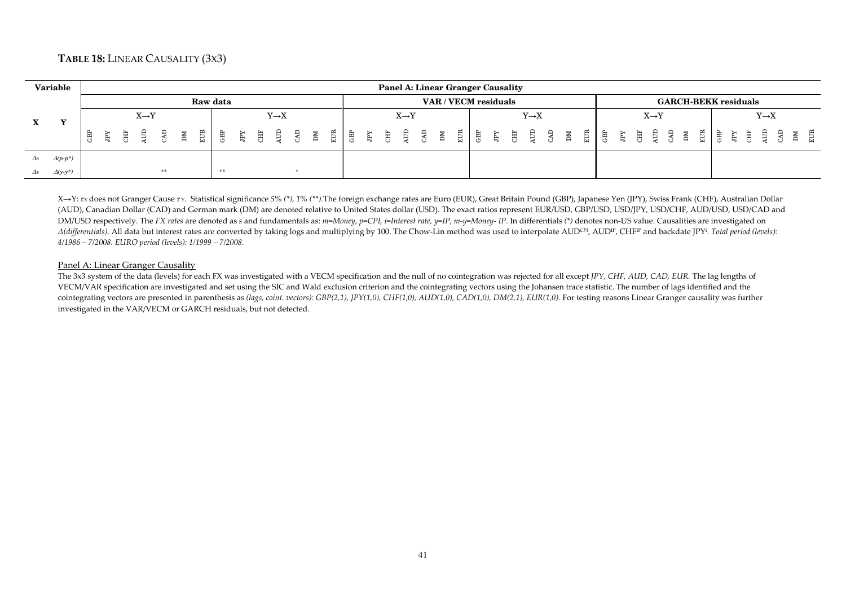## **TABLE 18:** LINEAR CAUSALITY (3X3)

|              | Variable        |                 |   |                   |    |    |     |          |  |                   |  |  |  | Panel A: Linear Granger Causality |  |  |                      |                   |    |     |   |    |   |                   |             |     |        |                             |   |                   |  |
|--------------|-----------------|-----------------|---|-------------------|----|----|-----|----------|--|-------------------|--|--|--|-----------------------------------|--|--|----------------------|-------------------|----|-----|---|----|---|-------------------|-------------|-----|--------|-----------------------------|---|-------------------|--|
|              |                 |                 |   |                   |    |    |     | Raw data |  |                   |  |  |  |                                   |  |  | VAR / VECM residuals |                   |    |     |   |    |   |                   |             |     |        | <b>GARCH-BEKK residuals</b> |   |                   |  |
|              | $\mathbf{v}$    |                 |   | $X \rightarrow Y$ |    |    |     |          |  | $Y \rightarrow X$ |  |  |  | $X \rightarrow Y$                 |  |  |                      | $Y \rightarrow X$ |    |     |   |    |   | $X \rightarrow Y$ |             |     |        |                             |   | $Y \rightarrow X$ |  |
| $\mathbf{A}$ |                 | GB <sub>L</sub> | 負 |                   | Œ. | ÞМ | EUR | 留        |  |                   |  |  |  |                                   |  |  |                      |                   | ЫM | EUR | 島 | È, | 唐 | ੜ੍ਹੇ ਬ            | $_{\rm NL}$ | EUR | 。<br>巴 | $\mathbb{E}$                | 舅 |                   |  |
|              | $\Delta(p-p^*)$ |                 |   |                   |    |    |     |          |  |                   |  |  |  |                                   |  |  |                      |                   |    |     |   |    |   |                   |             |     |        |                             |   |                   |  |
|              | $\Delta(y-y^*)$ |                 |   |                   | ** |    |     | **       |  |                   |  |  |  |                                   |  |  |                      |                   |    |     |   |    |   |                   |             |     |        |                             |   |                   |  |

X→Y: rx does not Granger Cause r y. Statistical significance 5% (\*), 1% (\*\*).The foreign exchange rates are Euro (EUR), Great Britain Pound (GBP), Japanese Yen (JPY), Swiss Frank (CHF), Australian Dollar (AUD), Canadian Dollar (CAD) and German mark (DM) are denoted relative to United States dollar (USD). The exact ratios represent EUR/USD, GBP/USD, USD/JPY, USD/CHF, AUD/USD, USD/CAD and DM/USD respectively. The FX rates are denoted as s and fundamentals as: m=Money, p=CPI, i=Interest rate, y=IP, m-y=Money- IP. In differentials (\*) denotes non-US value. Causalities are investigated on A(differentials). All data but interest rates are converted by taking logs and multiplying by 100. The Chow-Lin method was used to interpolate AUDCPI, AUDIP, CHFIP and backdate JPY<sup>i</sup>. Total period (levels): *4/1986 – 7/2008. EURO period (levels): 1/1999 – 7/2008.*

#### Panel A: Linear Granger Causality

 The 3x3 system of the data (levels) for each FX was investigated with a VECM specification and the null of no cointegration was rejected for all except *JPY, CHF, AUD, CAD, EUR.* The lag lengths of VECM/VAR specification are investigated and set using the SIC and Wald exclusion criterion and the cointegrating vectors using the Johansen trace statistic. The number of lags identified and the cointegrating vectors are presented in parenthesis as *(lags, coint. vectors): GBP(2,1), JPY(1,0), CHF(1,0), AUD(1,0), CAD(1,0), DM(2,1), EUR(1,0).* For testing reasons Linear Granger causality was further investigated in the VAR/VECM or GARCH residuals, but not detected.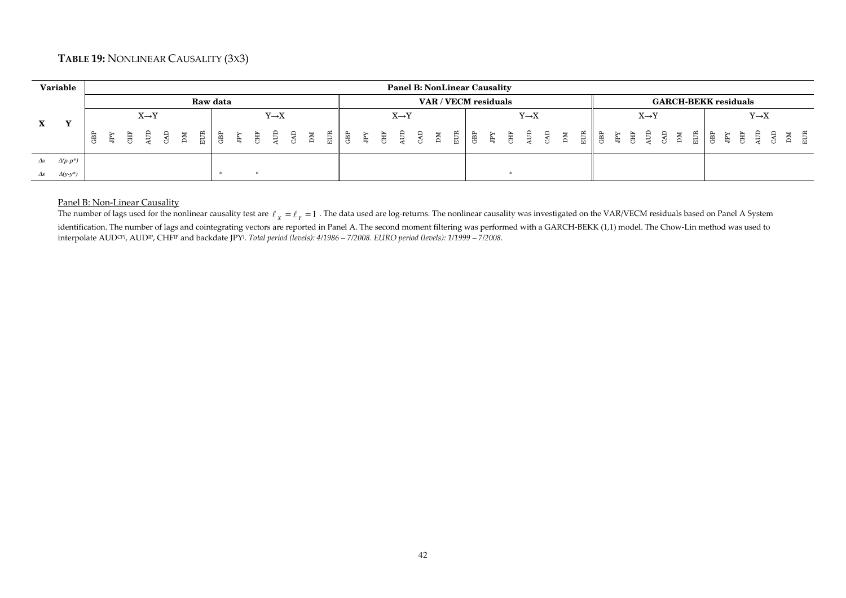## **TABLE 19:** NONLINEAR CAUSALITY (3X3)

|              | <b>Variable</b> |   |                |                   |  |                |  |                   |  |  |  |                   |  | <b>Panel B: NonLinear Causality</b> |  |                   |  |  |  |                   |                             |  |                   |  |  |
|--------------|-----------------|---|----------------|-------------------|--|----------------|--|-------------------|--|--|--|-------------------|--|-------------------------------------|--|-------------------|--|--|--|-------------------|-----------------------------|--|-------------------|--|--|
|              |                 |   |                |                   |  | Raw data       |  |                   |  |  |  |                   |  | VAR / VECM residuals                |  |                   |  |  |  |                   | <b>GARCH-BEKK residuals</b> |  |                   |  |  |
|              |                 |   |                | $X \rightarrow Y$ |  |                |  | $Y \rightarrow X$ |  |  |  | $X \rightarrow Y$ |  |                                     |  | $Y \rightarrow X$ |  |  |  | $X \rightarrow Y$ |                             |  | $Y \rightarrow X$ |  |  |
| $\mathbf{X}$ |                 | Ē | $\mathbb{F}^N$ |                   |  | $\mathbb{E}$ . |  |                   |  |  |  |                   |  |                                     |  |                   |  |  |  |                   |                             |  |                   |  |  |
| $\Delta s$   | $\Delta(p-p^*)$ |   |                |                   |  |                |  |                   |  |  |  |                   |  |                                     |  |                   |  |  |  |                   |                             |  |                   |  |  |
| $\Delta s$   | $\Delta(y-y^*)$ |   |                |                   |  |                |  |                   |  |  |  |                   |  |                                     |  |                   |  |  |  |                   |                             |  |                   |  |  |

## Panel B: Non-Linear Causality

The number of lags used for the nonlinear causality test are  $\ell_{\chi}=\ell_{\gamma}=1$  . The data used are log-returns. The nonlinear causality was investigated on the VAR/VECM residuals based on Panel A System identification. The number of lags and cointegrating vectors are reported in Panel A. The second moment filtering was performed with a GARCH-BEKK (1,1) model. The Chow-Lin method was used to interpolate AUD*CPI*, AUDIP, CHFIP and backdate JPY<sup>i</sup>. *Total period (levels): 4/1986 – 7/2008. EURO period (levels): 1/1999 – 7/2008.*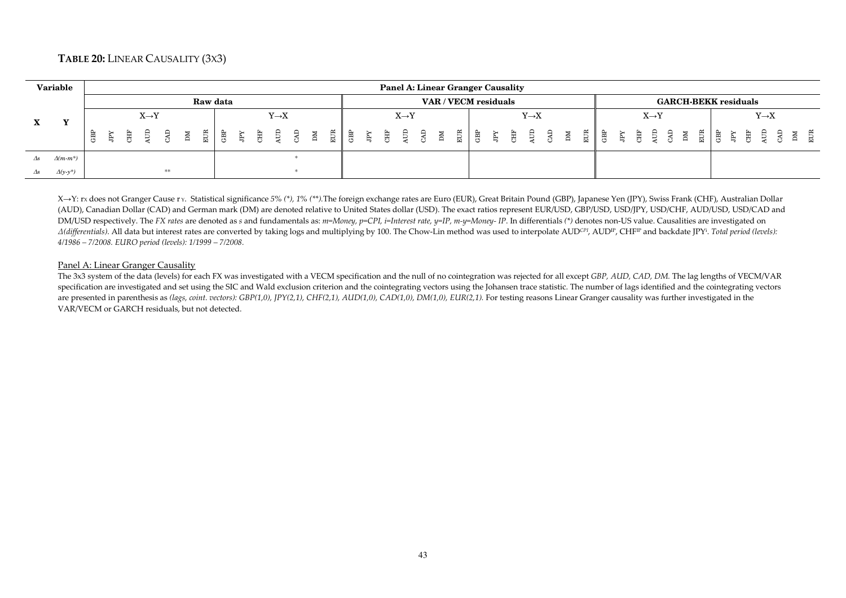## **TABLE 20:** LINEAR CAUSALITY (3X3)

|            | Variable        |     |              |                   |    |    |               |          |  |                   |  |  |  | <b>Panel A: Linear Granger Causality</b>                                                                                                                                                         |            |                      |       |                                                                                                                                                                                                                                                                                                                                                                                                         |                   |  |  |  |                   |  |   |          |                             |                   |                  |
|------------|-----------------|-----|--------------|-------------------|----|----|---------------|----------|--|-------------------|--|--|--|--------------------------------------------------------------------------------------------------------------------------------------------------------------------------------------------------|------------|----------------------|-------|---------------------------------------------------------------------------------------------------------------------------------------------------------------------------------------------------------------------------------------------------------------------------------------------------------------------------------------------------------------------------------------------------------|-------------------|--|--|--|-------------------|--|---|----------|-----------------------------|-------------------|------------------|
|            |                 |     |              |                   |    |    |               | Raw data |  |                   |  |  |  |                                                                                                                                                                                                  |            | VAR / VECM residuals |       |                                                                                                                                                                                                                                                                                                                                                                                                         |                   |  |  |  |                   |  |   |          | <b>GARCH-BEKK residuals</b> |                   |                  |
|            |                 |     |              | $X \rightarrow Y$ |    |    |               |          |  | $Y \rightarrow X$ |  |  |  | $X \rightarrow Y$                                                                                                                                                                                |            |                      |       |                                                                                                                                                                                                                                                                                                                                                                                                         | $Y \rightarrow X$ |  |  |  | $X \rightarrow Y$ |  |   |          |                             | $Y \rightarrow X$ |                  |
|            |                 | GBP | $\mathbb{R}$ | 唐 皇 良             |    | ÞМ | $\frac{1}{2}$ |          |  |                   |  |  |  | $\begin{array}{c cccc}\n\mathbb{E} & \mathbb{B} & \mathbb{B} & \mathbb{B} & \mathbb{B} & \mathbb{B} \\ \mathbb{E} & \mathbb{B} & \mathbb{E} & \mathbb{B} & \mathbb{B} & \mathbb{B}\n\end{array}$ | <b>NIC</b> | $E \parallel$        | 「---- | $\begin{array}{cccccccccccccc} &\mathbb{R} &\mathbb{B} &\mathbb{B} &\mathbb{B} &\mathbb{B} &\mathbb{B} &\mathbb{B} &\mathbb{B} &\mathbb{B} &\mathbb{B} &\mathbb{B} &\mathbb{B} &\mathbb{B} &\mathbb{B} &\mathbb{B} &\mathbb{B} &\mathbb{B} &\mathbb{B} &\mathbb{B} &\mathbb{B} &\mathbb{B} &\mathbb{B} &\mathbb{B} &\mathbb{B} &\mathbb{B} &\mathbb{B} &\mathbb{B} &\mathbb{B} &\mathbb{B} &\mathbb{B}$ |                   |  |  |  |                   |  | 豊 | <b>高</b> | 用 員                         |                   | E<br>E<br>E<br>E |
| $\Delta s$ | $\Delta(m-m^*)$ |     |              |                   |    |    |               |          |  |                   |  |  |  |                                                                                                                                                                                                  |            |                      |       |                                                                                                                                                                                                                                                                                                                                                                                                         |                   |  |  |  |                   |  |   |          |                             |                   |                  |
| Δs         | $\Delta(y-y^*)$ |     |              |                   | ** |    |               |          |  |                   |  |  |  |                                                                                                                                                                                                  |            |                      |       |                                                                                                                                                                                                                                                                                                                                                                                                         |                   |  |  |  |                   |  |   |          |                             |                   |                  |

X→Y: rx does not Granger Cause r y. Statistical significance 5% (\*), 1% (\*\*).The foreign exchange rates are Euro (EUR), Great Britain Pound (GBP), Japanese Yen (JPY), Swiss Frank (CHF), Australian Dollar (AUD), Canadian Dollar (CAD) and German mark (DM) are denoted relative to United States dollar (USD). The exact ratios represent EUR/USD, GBP/USD, USD/JPY, USD/CHF, AUD/USD, USD/CAD and DM/USD respectively. The FX rates are denoted as s and fundamentals as: m=Money, p=CPI, i=Interest rate, y=IP, m-y=Money- IP. In differentials (\*) denotes non-US value. Causalities are investigated on A(differentials). All data but interest rates are converted by taking logs and multiplying by 100. The Chow-Lin method was used to interpolate AUDCPI, AUDIP, CHFIP and backdate JPY<sup>i</sup>. Total period (levels): *4/1986 – 7/2008. EURO period (levels): 1/1999 – 7/2008.*

#### Panel A: Linear Granger Causality

 The 3x3 system of the data (levels) for each FX was investigated with a VECM specification and the null of no cointegration was rejected for all except *GBP, AUD, CAD, DM.* The lag lengths of VECM/VAR specification are investigated and set using the SIC and Wald exclusion criterion and the cointegrating vectors using the Johansen trace statistic. The number of lags identified and the cointegrating vectors are presented in parenthesis as *(lags, coint. vectors): GBP(1,0), JPY(2,1), CHF(2,1), AUD(1,0), CAD(1,0), DM(1,0), EUR(2,1).* For testing reasons Linear Granger causality was further investigated in the VAR/VECM or GARCH residuals, but not detected.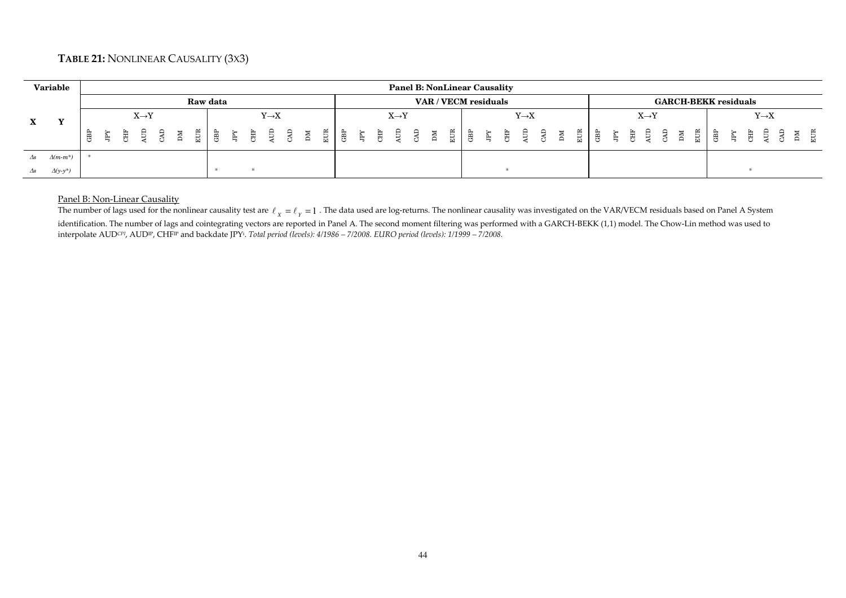## **TABLE 21:** NONLINEAR CAUSALITY (3X3)

|            | <b>Variable</b> |     |   |                   |     |    |          |     |   |                   |  |               |     |              |                   |  |  | <b>Panel B: NonLinear Causality</b> |                   |  |  |  |                   |  |                             |                   |  |  |
|------------|-----------------|-----|---|-------------------|-----|----|----------|-----|---|-------------------|--|---------------|-----|--------------|-------------------|--|--|-------------------------------------|-------------------|--|--|--|-------------------|--|-----------------------------|-------------------|--|--|
|            |                 |     |   |                   |     |    | Raw data |     |   |                   |  |               |     |              |                   |  |  | VAR / VECM residuals                |                   |  |  |  |                   |  | <b>GARCH-BEKK residuals</b> |                   |  |  |
| X          |                 |     |   | $X \rightarrow Y$ |     |    |          |     |   | $Y \rightarrow X$ |  |               |     |              | $X \rightarrow Y$ |  |  |                                     | $Y \rightarrow X$ |  |  |  | $X \rightarrow Y$ |  |                             | $Y \rightarrow X$ |  |  |
|            |                 | GBP | 負 | È.                | ्रि | ЫM | EUR      | GBP | Ę |                   |  | $\frac{1}{2}$ | GBP | $\mathbb{E}$ |                   |  |  |                                     |                   |  |  |  |                   |  | EUR<br>GBP<br>JFY           | 唐 皇               |  |  |
| $\Delta s$ | $\Delta(m-m^*)$ |     |   |                   |     |    |          |     |   |                   |  |               |     |              |                   |  |  |                                     |                   |  |  |  |                   |  |                             |                   |  |  |
| $\Delta s$ | $\Delta(y-y^*)$ |     |   |                   |     |    |          |     |   |                   |  |               |     |              |                   |  |  |                                     |                   |  |  |  |                   |  |                             |                   |  |  |

## Panel B: Non-Linear Causality

The number of lags used for the nonlinear causality test are  $\ell_{\chi}=\ell_{\gamma}=1$  . The data used are log-returns. The nonlinear causality was investigated on the VAR/VECM residuals based on Panel A System identification. The number of lags and cointegrating vectors are reported in Panel A. The second moment filtering was performed with a GARCH-BEKK (1,1) model. The Chow-Lin method was used to interpolate AUD*CPI*, AUDIP, CHFIP and backdate JPY<sup>i</sup>. *Total period (levels): 4/1986 – 7/2008. EURO period (levels): 1/1999 – 7/2008.*